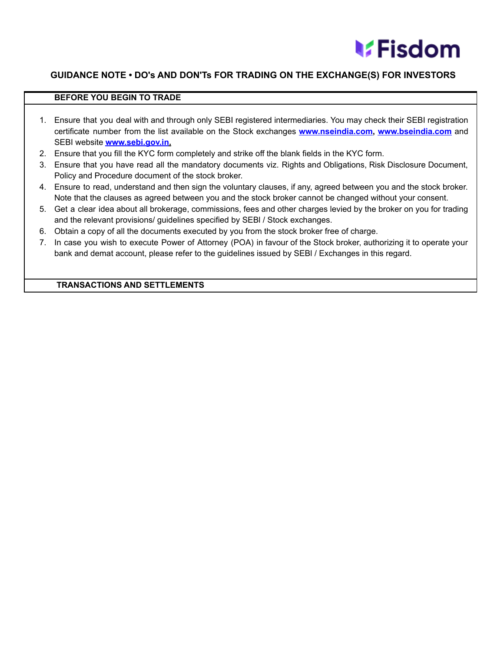

## **GUIDANCE NOTE • DO's AND DON'Ts FOR TRADING ON THE EXCHANGE(S) FOR INVESTORS**

## **BEFORE YOU BEGIN TO TRADE**

- 1. Ensure that you deal with and through only SEBI registered intermediaries. You may check their SEBI registration certificate number from the list available on the Stock exchanges **[www.nseindia.com,](http://www.nseindia.com) [www.bseindia.com](http://www.bseindia.com)** and SEBI website **[www.sebi.gov.in.](http://www.sebi.gov.in/)**
- 2. Ensure that you fill the KYC form completely and strike off the blank fields in the KYC form.
- 3. Ensure that you have read all the mandatory documents viz. Rights and Obligations, Risk Disclosure Document, Policy and Procedure document of the stock broker.
- 4. Ensure to read, understand and then sign the voluntary clauses, if any, agreed between you and the stock broker. Note that the clauses as agreed between you and the stock broker cannot be changed without your consent.
- 5. Get a clear idea about all brokerage, commissions, fees and other charges levied by the broker on you for trading and the relevant provisions/ guidelines specified by SEBl / Stock exchanges.
- 6. Obtain a copy of all the documents executed by you from the stock broker free of charge.
- 7. In case you wish to execute Power of Attorney (POA) in favour of the Stock broker, authorizing it to operate your bank and demat account, please refer to the guidelines issued by SEBl / Exchanges in this regard.

## **TRANSACTIONS AND SETTLEMENTS**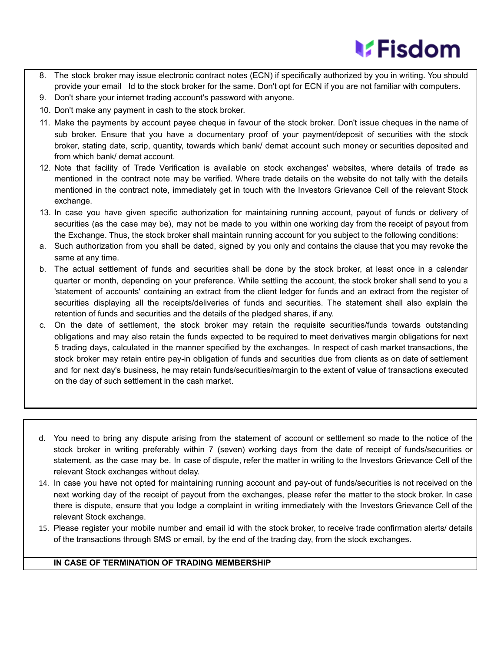## **MEisdom**

- 8. The stock broker may issue electronic contract notes (ECN) if specifically authorized by you in writing. You should provide your email Id to the stock broker for the same. Don't opt for ECN if you are not familiar with computers.
- 9. Don't share your internet trading account's password with anyone.
- 10. Don't make any payment in cash to the stock broker.
- 11. Make the payments by account payee cheque in favour of the stock broker. Don't issue cheques in the name of sub broker. Ensure that you have a documentary proof of your payment/deposit of securities with the stock broker, stating date, scrip, quantity, towards which bank/ demat account such money or securities deposited and from which bank/ demat account.
- 12. Note that facility of Trade Verification is available on stock exchanges' websites, where details of trade as mentioned in the contract note may be verified. Where trade details on the website do not tally with the details mentioned in the contract note, immediately get in touch with the Investors Grievance Cell of the relevant Stock exchange.
- 13. In case you have given specific authorization for maintaining running account, payout of funds or delivery of securities (as the case may be), may not be made to you within one working day from the receipt of payout from the Exchange. Thus, the stock broker shall maintain running account for you subject to the following conditions:
- a. Such authorization from you shall be dated, signed by you only and contains the clause that you may revoke the same at any time.
- b. The actual settlement of funds and securities shall be done by the stock broker, at least once in a calendar quarter or month, depending on your preference. While settling the account, the stock broker shall send to you a 'statement of accounts' containing an extract from the client ledger for funds and an extract from the register of securities displaying all the receipts/deliveries of funds and securities. The statement shall also explain the retention of funds and securities and the details of the pledged shares, if any.
- c. On the date of settlement, the stock broker may retain the requisite securities/funds towards outstanding obligations and may also retain the funds expected to be required to meet derivatives margin obligations for next 5 trading days, calculated in the manner specified by the exchanges. In respect of cash market transactions, the stock broker may retain entire pay-in obligation of funds and securities due from clients as on date of settlement and for next day's business, he may retain funds/securities/margin to the extent of value of transactions executed on the day of such settlement in the cash market.
- d. You need to bring any dispute arising from the statement of account or settlement so made to the notice of the stock broker in writing preferably within 7 (seven) working days from the date of receipt of funds/securities or statement, as the case may be. In case of dispute, refer the matter in writing to the Investors Grievance Cell of the relevant Stock exchanges without delay.
- 14. In case you have not opted for maintaining running account and pay-out of funds/securities is not received on the next working day of the receipt of payout from the exchanges, please refer the matter to the stock broker. In case there is dispute, ensure that you lodge a complaint in writing immediately with the Investors Grievance Cell of the relevant Stock exchange.
- 15. Please register your mobile number and email id with the stock broker, to receive trade confirmation alerts/ details of the transactions through SMS or email, by the end of the trading day, from the stock exchanges.

## **IN CASE OF TERMINATION OF TRADING MEMBERSHIP**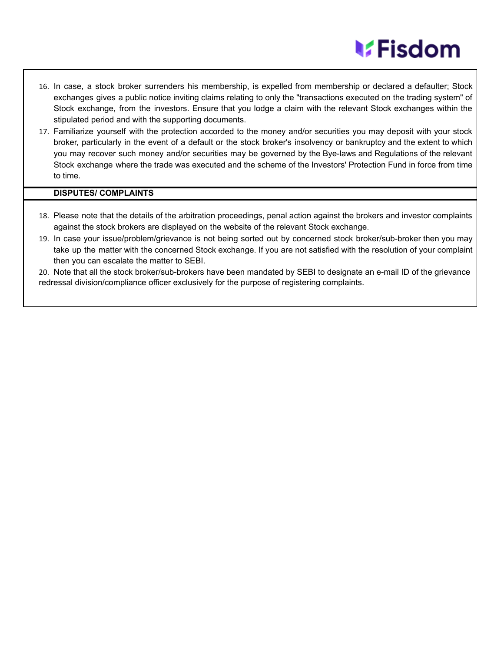## **MEisdom**

- 16. In case, a stock broker surrenders his membership, is expelled from membership or declared a defaulter; Stock exchanges gives a public notice inviting claims relating to only the "transactions executed on the trading system" of Stock exchange, from the investors. Ensure that you lodge a claim with the relevant Stock exchanges within the stipulated period and with the supporting documents.
- 17. Familiarize yourself with the protection accorded to the money and/or securities you may deposit with your stock broker, particularly in the event of a default or the stock broker's insolvency or bankruptcy and the extent to which you may recover such money and/or securities may be governed by the Bye-laws and Regulations of the relevant Stock exchange where the trade was executed and the scheme of the Investors' Protection Fund in force from time to time.

## **DISPUTES/ COMPLAINTS**

- 18. Please note that the details of the arbitration proceedings, penal action against the brokers and investor complaints against the stock brokers are displayed on the website of the relevant Stock exchange.
- 19. In case your issue/problem/grievance is not being sorted out by concerned stock broker/sub-broker then you may take up the matter with the concerned Stock exchange. If you are not satisfied with the resolution of your complaint then you can escalate the matter to SEBI.

20. Note that all the stock broker/sub-brokers have been mandated by SEBI to designate an e-mail ID of the grievance redressal division/compliance officer exclusively for the purpose of registering complaints.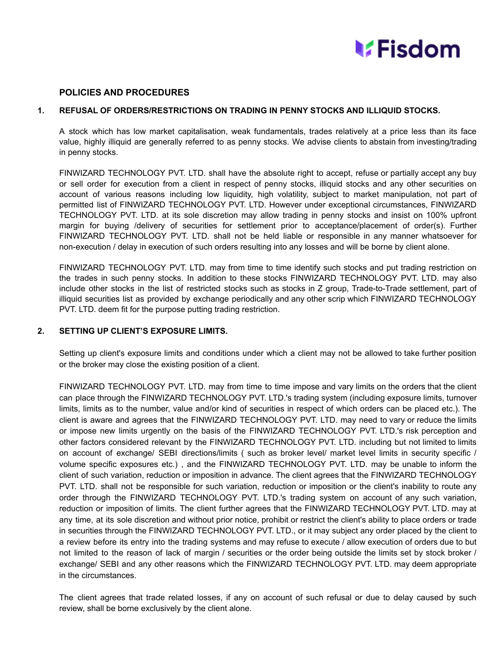

## **POLICIES AND PROCEDURES**

## **1. REFUSAL OF ORDERS/RESTRICTIONS ON TRADING IN PENNY STOCKS AND ILLIQUID STOCKS.**

A stock which has low market capitalisation, weak fundamentals, trades relatively at a price less than its face value, highly illiquid are generally referred to as penny stocks. We advise clients to abstain from investing/trading in penny stocks.

FINWIZARD TECHNOLOGY PVT. LTD. shall have the absolute right to accept, refuse or partially accept any buy or sell order for execution from a client in respect of penny stocks, illiquid stocks and any other securities on account of various reasons including low liquidity, high volatility, subject to market manipulation, not part of permitted list of FINWIZARD TECHNOLOGY PVT. LTD. However under exceptional circumstances, FINWIZARD TECHNOLOGY PVT. LTD. at its sole discretion may allow trading in penny stocks and insist on 100% upfront margin for buying /delivery of securities for settlement prior to acceptance/placement of order(s). Further FINWIZARD TECHNOLOGY PVT. LTD. shall not be held liable or responsible in any manner whatsoever for non-execution / delay in execution of such orders resulting into any losses and will be borne by client alone.

FINWIZARD TECHNOLOGY PVT. LTD. may from time to time identify such stocks and put trading restriction on the trades in such penny stocks. In addition to these stocks FINWIZARD TECHNOLOGY PVT. LTD. may also include other stocks in the list of restricted stocks such as stocks in Z group, Trade-to-Trade settlement, part of illiquid securities list as provided by exchange periodically and any other scrip which FINWIZARD TECHNOLOGY PVT. LTD. deem fit for the purpose putting trading restriction.

## **2. SETTING UP CLIENT'S EXPOSURE LIMITS.**

Setting up client's exposure limits and conditions under which a client may not be allowed to take further position or the broker may close the existing position of a client.

FINWIZARD TECHNOLOGY PVT. LTD. may from time to time impose and vary limits on the orders that the client can place through the FINWIZARD TECHNOLOGY PVT. LTD.'s trading system (including exposure limits, turnover limits, limits as to the number, value and/or kind of securities in respect of which orders can be placed etc.). The client is aware and agrees that the FINWIZARD TECHNOLOGY PVT. LTD. may need to vary or reduce the limits or impose new limits urgently on the basis of the FINWIZARD TECHNOLOGY PVT. LTD.'s risk perception and other factors considered relevant by the FINWIZARD TECHNOLOGY PVT. LTD. including but not limited to limits on account of exchange/ SEBI directions/limits ( such as broker level/ market level limits in security specific / volume specific exposures etc.) , and the FINWIZARD TECHNOLOGY PVT. LTD. may be unable to inform the client of such variation, reduction or imposition in advance. The client agrees that the FINWIZARD TECHNOLOGY PVT. LTD. shall not be responsible for such variation, reduction or imposition or the client's inability to route any order through the FINWIZARD TECHNOLOGY PVT. LTD.'s trading system on account of any such variation, reduction or imposition of limits. The client further agrees that the FINWIZARD TECHNOLOGY PVT. LTD. may at any time, at its sole discretion and without prior notice, prohibit or restrict the client's ability to place orders or trade in securities through the FINWIZARD TECHNOLOGY PVT. LTD., or it may subject any order placed by the client to a review before its entry into the trading systems and may refuse to execute / allow execution of orders due to but not limited to the reason of lack of margin / securities or the order being outside the limits set by stock broker / exchange/ SEBI and any other reasons which the FINWIZARD TECHNOLOGY PVT. LTD. may deem appropriate in the circumstances.

The client agrees that trade related losses, if any on account of such refusal or due to delay caused by such review, shall be borne exclusively by the client alone.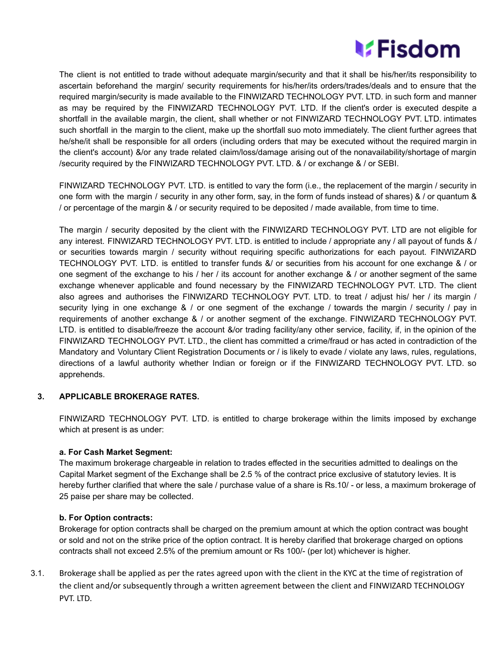## **MEisdom**

The client is not entitled to trade without adequate margin/security and that it shall be his/her/its responsibility to ascertain beforehand the margin/ security requirements for his/her/its orders/trades/deals and to ensure that the required margin/security is made available to the FINWIZARD TECHNOLOGY PVT. LTD. in such form and manner as may be required by the FINWIZARD TECHNOLOGY PVT. LTD. If the client's order is executed despite a shortfall in the available margin, the client, shall whether or not FINWIZARD TECHNOLOGY PVT. LTD. intimates such shortfall in the margin to the client, make up the shortfall suo moto immediately. The client further agrees that he/she/it shall be responsible for all orders (including orders that may be executed without the required margin in the client's account) &/or any trade related claim/loss/damage arising out of the nonavailability/shortage of margin /security required by the FINWIZARD TECHNOLOGY PVT. LTD. & / or exchange & / or SEBI.

FINWIZARD TECHNOLOGY PVT. LTD. is entitled to vary the form (i.e., the replacement of the margin / security in one form with the margin / security in any other form, say, in the form of funds instead of shares) & / or quantum & / or percentage of the margin & / or security required to be deposited / made available, from time to time.

The margin / security deposited by the client with the FINWIZARD TECHNOLOGY PVT. LTD are not eligible for any interest. FINWIZARD TECHNOLOGY PVT. LTD. is entitled to include / appropriate any / all payout of funds & / or securities towards margin / security without requiring specific authorizations for each payout. FINWIZARD TECHNOLOGY PVT. LTD. is entitled to transfer funds &/ or securities from his account for one exchange & / or one segment of the exchange to his / her / its account for another exchange & / or another segment of the same exchange whenever applicable and found necessary by the FINWIZARD TECHNOLOGY PVT. LTD. The client also agrees and authorises the FINWIZARD TECHNOLOGY PVT. LTD. to treat / adjust his/ her / its margin / security lying in one exchange & / or one segment of the exchange / towards the margin / security / pay in requirements of another exchange & / or another segment of the exchange. FINWIZARD TECHNOLOGY PVT. LTD. is entitled to disable/freeze the account &/or trading facility/any other service, facility, if, in the opinion of the FINWIZARD TECHNOLOGY PVT. LTD., the client has committed a crime/fraud or has acted in contradiction of the Mandatory and Voluntary Client Registration Documents or / is likely to evade / violate any laws, rules, regulations, directions of a lawful authority whether Indian or foreign or if the FINWIZARD TECHNOLOGY PVT. LTD. so apprehends.

## **3. APPLICABLE BROKERAGE RATES.**

FINWIZARD TECHNOLOGY PVT. LTD. is entitled to charge brokerage within the limits imposed by exchange which at present is as under:

## **a. For Cash Market Segment:**

The maximum brokerage chargeable in relation to trades effected in the securities admitted to dealings on the Capital Market segment of the Exchange shall be 2.5 % of the contract price exclusive of statutory levies. It is hereby further clarified that where the sale / purchase value of a share is Rs.10/ - or less, a maximum brokerage of 25 paise per share may be collected.

## **b. For Option contracts:**

Brokerage for option contracts shall be charged on the premium amount at which the option contract was bought or sold and not on the strike price of the option contract. It is hereby clarified that brokerage charged on options contracts shall not exceed 2.5% of the premium amount or Rs 100/- (per lot) whichever is higher.

3.1. Brokerage shall be applied as per the rates agreed upon with the client in the KYC at the time of registration of the client and/or subsequently through a written agreement between the client and FINWIZARD TECHNOLOGY PVT. LTD.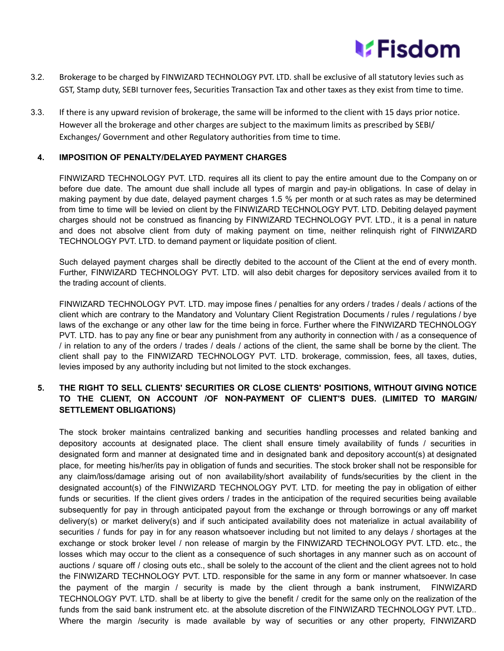

- 3.2. Brokerage to be charged by FINWIZARD TECHNOLOGY PVT. LTD. shall be exclusive of all statutory levies such as GST, Stamp duty, SEBI turnover fees, Securities Transaction Tax and other taxes as they exist from time to time.
- 3.3. If there is any upward revision of brokerage, the same will be informed to the client with 15 days prior notice. However all the brokerage and other charges are subject to the maximum limits as prescribed by SEBI/ Exchanges/ Government and other Regulatory authorities from time to time.

## **4. IMPOSITION OF PENALTY/DELAYED PAYMENT CHARGES**

FINWIZARD TECHNOLOGY PVT. LTD. requires all its client to pay the entire amount due to the Company on or before due date. The amount due shall include all types of margin and pay-in obligations. In case of delay in making payment by due date, delayed payment charges 1.5 % per month or at such rates as may be determined from time to time will be levied on client by the FINWIZARD TECHNOLOGY PVT. LTD. Debiting delayed payment charges should not be construed as financing by FINWIZARD TECHNOLOGY PVT. LTD., it is a penal in nature and does not absolve client from duty of making payment on time, neither relinquish right of FINWIZARD TECHNOLOGY PVT. LTD. to demand payment or liquidate position of client.

Such delayed payment charges shall be directly debited to the account of the Client at the end of every month. Further, FINWIZARD TECHNOLOGY PVT. LTD. will also debit charges for depository services availed from it to the trading account of clients.

FINWIZARD TECHNOLOGY PVT. LTD. may impose fines / penalties for any orders / trades / deals / actions of the client which are contrary to the Mandatory and Voluntary Client Registration Documents / rules / regulations / bye laws of the exchange or any other law for the time being in force. Further where the FINWIZARD TECHNOLOGY PVT. LTD. has to pay any fine or bear any punishment from any authority in connection with / as a consequence of / in relation to any of the orders / trades / deals / actions of the client, the same shall be borne by the client. The client shall pay to the FINWIZARD TECHNOLOGY PVT. LTD. brokerage, commission, fees, all taxes, duties, levies imposed by any authority including but not limited to the stock exchanges.

## **5. THE RIGHT TO SELL CLIENTS' SECURITIES OR CLOSE CLIENTS' POSITIONS, WITHOUT GIVING NOTICE TO THE CLIENT, ON ACCOUNT /OF NON-PAYMENT OF CLIENT'S DUES. (LIMITED TO MARGIN/ SETTLEMENT OBLIGATIONS)**

The stock broker maintains centralized banking and securities handling processes and related banking and depository accounts at designated place. The client shall ensure timely availability of funds / securities in designated form and manner at designated time and in designated bank and depository account(s) at designated place, for meeting his/her/its pay in obligation of funds and securities. The stock broker shall not be responsible for any claim/loss/damage arising out of non availability/short availability of funds/securities by the client in the designated account(s) of the FINWIZARD TECHNOLOGY PVT. LTD. for meeting the pay in obligation of either funds or securities. If the client gives orders / trades in the anticipation of the required securities being available subsequently for pay in through anticipated payout from the exchange or through borrowings or any off market delivery(s) or market delivery(s) and if such anticipated availability does not materialize in actual availability of securities / funds for pay in for any reason whatsoever including but not limited to any delays / shortages at the exchange or stock broker level / non release of margin by the FINWIZARD TECHNOLOGY PVT. LTD. etc., the losses which may occur to the client as a consequence of such shortages in any manner such as on account of auctions / square off / closing outs etc., shall be solely to the account of the client and the client agrees not to hold the FINWIZARD TECHNOLOGY PVT. LTD. responsible for the same in any form or manner whatsoever. In case the payment of the margin / security is made by the client through a bank instrument, FINWIZARD TECHNOLOGY PVT. LTD. shall be at liberty to give the benefit / credit for the same only on the realization of the funds from the said bank instrument etc. at the absolute discretion of the FINWIZARD TECHNOLOGY PVT. LTD.. Where the margin /security is made available by way of securities or any other property, FINWIZARD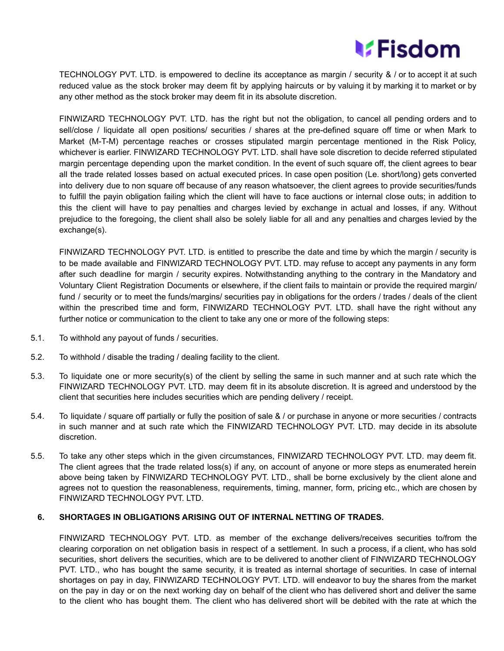

TECHNOLOGY PVT. LTD. is empowered to decline its acceptance as margin / security & / or to accept it at such reduced value as the stock broker may deem fit by applying haircuts or by valuing it by marking it to market or by any other method as the stock broker may deem fit in its absolute discretion.

FINWIZARD TECHNOLOGY PVT. LTD. has the right but not the obligation, to cancel all pending orders and to sell/close / liquidate all open positions/ securities / shares at the pre-defined square off time or when Mark to Market (M-T-M) percentage reaches or crosses stipulated margin percentage mentioned in the Risk Policy, whichever is earlier. FINWIZARD TECHNOLOGY PVT. LTD. shall have sole discretion to decide referred stipulated margin percentage depending upon the market condition. In the event of such square off, the client agrees to bear all the trade related losses based on actual executed prices. In case open position (Le. short/long) gets converted into delivery due to non square off because of any reason whatsoever, the client agrees to provide securities/funds to fulfill the payin obligation failing which the client will have to face auctions or internal close outs; in addition to this the client will have to pay penalties and charges levied by exchange in actual and losses, if any. Without prejudice to the foregoing, the client shall also be solely liable for all and any penalties and charges levied by the exchange(s).

FINWIZARD TECHNOLOGY PVT. LTD. is entitled to prescribe the date and time by which the margin / security is to be made available and FINWIZARD TECHNOLOGY PVT. LTD. may refuse to accept any payments in any form after such deadline for margin / security expires. Notwithstanding anything to the contrary in the Mandatory and Voluntary Client Registration Documents or elsewhere, if the client fails to maintain or provide the required margin/ fund / security or to meet the funds/margins/ securities pay in obligations for the orders / trades / deals of the client within the prescribed time and form, FINWIZARD TECHNOLOGY PVT. LTD. shall have the right without any further notice or communication to the client to take any one or more of the following steps:

- 5.1. To withhold any payout of funds / securities.
- 5.2. To withhold / disable the trading / dealing facility to the client.
- 5.3. To liquidate one or more security(s) of the client by selling the same in such manner and at such rate which the FINWIZARD TECHNOLOGY PVT. LTD. may deem fit in its absolute discretion. It is agreed and understood by the client that securities here includes securities which are pending delivery / receipt.
- 5.4. To liquidate / square off partially or fully the position of sale & / or purchase in anyone or more securities / contracts in such manner and at such rate which the FINWIZARD TECHNOLOGY PVT. LTD. may decide in its absolute discretion.
- 5.5. To take any other steps which in the given circumstances, FINWIZARD TECHNOLOGY PVT. LTD. may deem fit. The client agrees that the trade related loss(s) if any, on account of anyone or more steps as enumerated herein above being taken by FINWIZARD TECHNOLOGY PVT. LTD., shall be borne exclusively by the client alone and agrees not to question the reasonableness, requirements, timing, manner, form, pricing etc., which are chosen by FINWIZARD TECHNOLOGY PVT. LTD.

## **6. SHORTAGES IN OBLIGATIONS ARISING OUT OF INTERNAL NETTING OF TRADES.**

FINWIZARD TECHNOLOGY PVT. LTD. as member of the exchange delivers/receives securities to/from the clearing corporation on net obligation basis in respect of a settlement. In such a process, if a client, who has sold securities, short delivers the securities, which are to be delivered to another client of FINWIZARD TECHNOLOGY PVT. LTD., who has bought the same security, it is treated as internal shortage of securities. In case of internal shortages on pay in day, FINWIZARD TECHNOLOGY PVT. LTD. will endeavor to buy the shares from the market on the pay in day or on the next working day on behalf of the client who has delivered short and deliver the same to the client who has bought them. The client who has delivered short will be debited with the rate at which the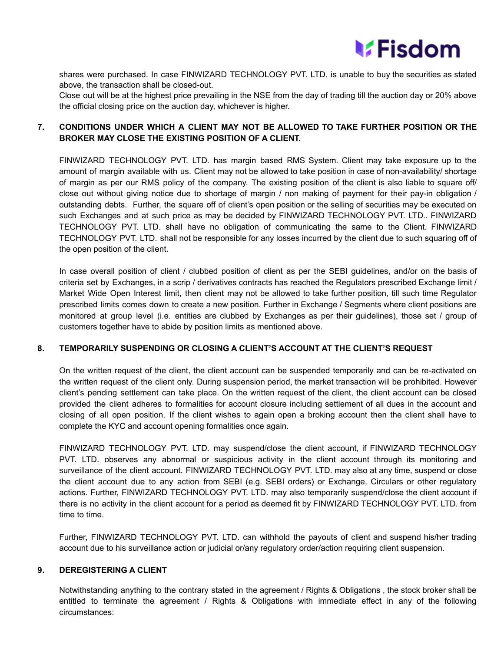

shares were purchased. In case FINWIZARD TECHNOLOGY PVT. LTD. is unable to buy the securities as stated above, the transaction shall be closed-out.

Close out will be at the highest price prevailing in the NSE from the day of trading till the auction day or 20% above the official closing price on the auction day, whichever is higher.

## **7. CONDITIONS UNDER WHICH A CLIENT MAY NOT BE ALLOWED TO TAKE FURTHER POSITION OR THE BROKER MAY CLOSE THE EXISTING POSITION OF A CLIENT.**

FINWIZARD TECHNOLOGY PVT. LTD. has margin based RMS System. Client may take exposure up to the amount of margin available with us. Client may not be allowed to take position in case of non-availability/ shortage of margin as per our RMS policy of the company. The existing position of the client is also liable to square off/ close out without giving notice due to shortage of margin / non making of payment for their pay-in obligation / outstanding debts. Further, the square off of client's open position or the selling of securities may be executed on such Exchanges and at such price as may be decided by FINWIZARD TECHNOLOGY PVT. LTD.. FINWIZARD TECHNOLOGY PVT. LTD. shall have no obligation of communicating the same to the Client. FINWIZARD TECHNOLOGY PVT. LTD. shall not be responsible for any losses incurred by the client due to such squaring off of the open position of the client.

In case overall position of client / clubbed position of client as per the SEBI guidelines, and/or on the basis of criteria set by Exchanges, in a scrip / derivatives contracts has reached the Regulators prescribed Exchange limit / Market Wide Open Interest limit, then client may not be allowed to take further position, till such time Regulator prescribed limits comes down to create a new position. Further in Exchange / Segments where client positions are monitored at group level (i.e. entities are clubbed by Exchanges as per their guidelines), those set / group of customers together have to abide by position limits as mentioned above.

## **8. TEMPORARILY SUSPENDING OR CLOSING A CLIENT'S ACCOUNT AT THE CLIENT'S REQUEST**

On the written request of the client, the client account can be suspended temporarily and can be re-activated on the written request of the client only. During suspension period, the market transaction will be prohibited. However client's pending settlement can take place. On the written request of the client, the client account can be closed provided the client adheres to formalities for account closure including settlement of all dues in the account and closing of all open position. If the client wishes to again open a broking account then the client shall have to complete the KYC and account opening formalities once again.

FINWIZARD TECHNOLOGY PVT. LTD. may suspend/close the client account, if FINWIZARD TECHNOLOGY PVT. LTD. observes any abnormal or suspicious activity in the client account through its monitoring and surveillance of the client account. FINWIZARD TECHNOLOGY PVT. LTD. may also at any time, suspend or close the client account due to any action from SEBI (e.g. SEBI orders) or Exchange, Circulars or other regulatory actions. Further, FINWIZARD TECHNOLOGY PVT. LTD. may also temporarily suspend/close the client account if there is no activity in the client account for a period as deemed fit by FINWIZARD TECHNOLOGY PVT. LTD. from time to time.

Further, FINWIZARD TECHNOLOGY PVT. LTD. can withhold the payouts of client and suspend his/her trading account due to his surveillance action or judicial or/any regulatory order/action requiring client suspension.

## **9. DEREGISTERING A CLIENT**

Notwithstanding anything to the contrary stated in the agreement / Rights & Obligations , the stock broker shall be entitled to terminate the agreement / Rights & Obligations with immediate effect in any of the following circumstances: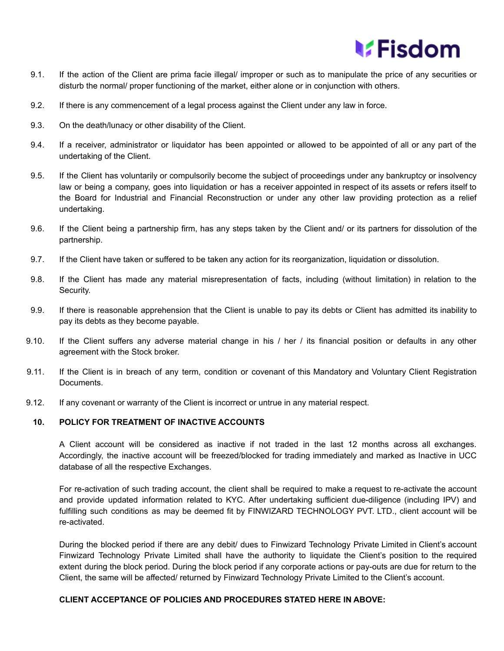

- 9.1. If the action of the Client are prima facie illegal/ improper or such as to manipulate the price of any securities or disturb the normal/ proper functioning of the market, either alone or in conjunction with others.
- 9.2. If there is any commencement of a legal process against the Client under any law in force.
- 9.3. On the death/lunacy or other disability of the Client.
- 9.4. If a receiver, administrator or liquidator has been appointed or allowed to be appointed of all or any part of the undertaking of the Client.
- 9.5. If the Client has voluntarily or compulsorily become the subject of proceedings under any bankruptcy or insolvency law or being a company, goes into liquidation or has a receiver appointed in respect of its assets or refers itself to the Board for Industrial and Financial Reconstruction or under any other law providing protection as a relief undertaking.
- 9.6. If the Client being a partnership firm, has any steps taken by the Client and/ or its partners for dissolution of the partnership.
- 9.7. If the Client have taken or suffered to be taken any action for its reorganization, liquidation or dissolution.
- 9.8. If the Client has made any material misrepresentation of facts, including (without limitation) in relation to the Security.
- 9.9. If there is reasonable apprehension that the Client is unable to pay its debts or Client has admitted its inability to pay its debts as they become payable.
- 9.10. If the Client suffers any adverse material change in his / her / its financial position or defaults in any other agreement with the Stock broker.
- 9.11. If the Client is in breach of any term, condition or covenant of this Mandatory and Voluntary Client Registration Documents.
- 9.12. If any covenant or warranty of the Client is incorrect or untrue in any material respect.

## **10. POLICY FOR TREATMENT OF INACTIVE ACCOUNTS**

A Client account will be considered as inactive if not traded in the last 12 months across all exchanges. Accordingly, the inactive account will be freezed/blocked for trading immediately and marked as Inactive in UCC database of all the respective Exchanges.

For re-activation of such trading account, the client shall be required to make a request to re-activate the account and provide updated information related to KYC. After undertaking sufficient due-diligence (including IPV) and fulfilling such conditions as may be deemed fit by FINWIZARD TECHNOLOGY PVT. LTD., client account will be re-activated.

During the blocked period if there are any debit/ dues to Finwizard Technology Private Limited in Client's account Finwizard Technology Private Limited shall have the authority to liquidate the Client's position to the required extent during the block period. During the block period if any corporate actions or pay-outs are due for return to the Client, the same will be affected/ returned by Finwizard Technology Private Limited to the Client's account.

## **CLIENT ACCEPTANCE OF POLICIES AND PROCEDURES STATED HERE IN ABOVE:**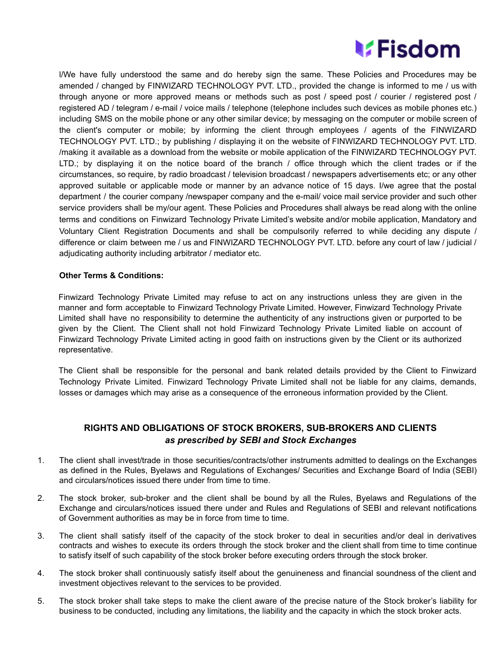

l/We have fully understood the same and do hereby sign the same. These Policies and Procedures may be amended / changed by FINWIZARD TECHNOLOGY PVT. LTD., provided the change is informed to me / us with through anyone or more approved means or methods such as post / speed post / courier / registered post / registered AD / telegram / e-mail / voice mails / telephone (telephone includes such devices as mobile phones etc.) including SMS on the mobile phone or any other similar device; by messaging on the computer or mobile screen of the client's computer or mobile; by informing the client through employees / agents of the FINWIZARD TECHNOLOGY PVT. LTD.; by publishing / displaying it on the website of FINWIZARD TECHNOLOGY PVT. LTD. /making it available as a download from the website or mobile application of the FINWIZARD TECHNOLOGY PVT. LTD.; by displaying it on the notice board of the branch / office through which the client trades or if the circumstances, so require, by radio broadcast / television broadcast / newspapers advertisements etc; or any other approved suitable or applicable mode or manner by an advance notice of 15 days. I/we agree that the postal department / the courier company /newspaper company and the e-mail/ voice mail service provider and such other service providers shall be my/our agent. These Policies and Procedures shall always be read along with the online terms and conditions on Finwizard Technology Private Limited's website and/or mobile application, Mandatory and Voluntary Client Registration Documents and shall be compulsorily referred to while deciding any dispute / difference or claim between me / us and FINWIZARD TECHNOLOGY PVT. LTD. before any court of law / judicial / adjudicating authority including arbitrator / mediator etc.

## **Other Terms & Conditions:**

Finwizard Technology Private Limited may refuse to act on any instructions unless they are given in the manner and form acceptable to Finwizard Technology Private Limited. However, Finwizard Technology Private Limited shall have no responsibility to determine the authenticity of any instructions given or purported to be given by the Client. The Client shall not hold Finwizard Technology Private Limited liable on account of Finwizard Technology Private Limited acting in good faith on instructions given by the Client or its authorized representative.

The Client shall be responsible for the personal and bank related details provided by the Client to Finwizard Technology Private Limited. Finwizard Technology Private Limited shall not be liable for any claims, demands, losses or damages which may arise as a consequence of the erroneous information provided by the Client.

## **RIGHTS AND OBLIGATIONS OF STOCK BROKERS, SUB-BROKERS AND CLIENTS** *as prescribed by SEBI and Stock Exchanges*

- 1. The client shall invest/trade in those securities/contracts/other instruments admitted to dealings on the Exchanges as defined in the Rules, Byelaws and Regulations of Exchanges/ Securities and Exchange Board of India (SEBI) and circulars/notices issued there under from time to time.
- 2. The stock broker, sub-broker and the client shall be bound by all the Rules, Byelaws and Regulations of the Exchange and circulars/notices issued there under and Rules and Regulations of SEBI and relevant notifications of Government authorities as may be in force from time to time.
- 3. The client shall satisfy itself of the capacity of the stock broker to deal in securities and/or deal in derivatives contracts and wishes to execute its orders through the stock broker and the client shall from time to time continue to satisfy itself of such capability of the stock broker before executing orders through the stock broker.
- 4. The stock broker shall continuously satisfy itself about the genuineness and financial soundness of the client and investment objectives relevant to the services to be provided.
- 5. The stock broker shall take steps to make the client aware of the precise nature of the Stock broker's liability for business to be conducted, including any limitations, the liability and the capacity in which the stock broker acts.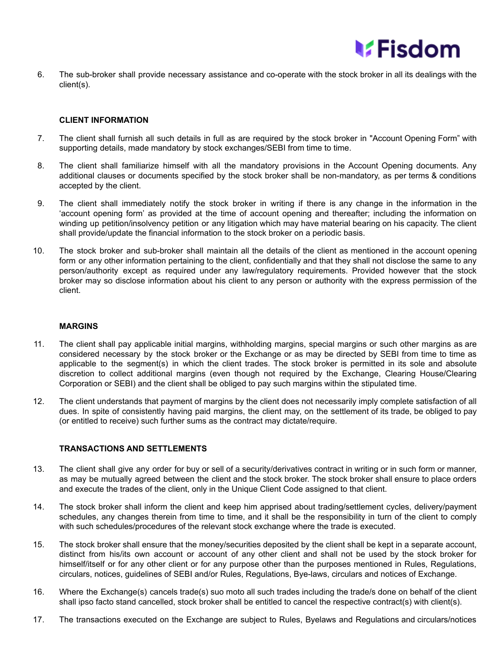

6. The sub-broker shall provide necessary assistance and co-operate with the stock broker in all its dealings with the client(s).

## **CLIENT INFORMATION**

- 7. The client shall furnish all such details in full as are required by the stock broker in "Account Opening Form" with supporting details, made mandatory by stock exchanges/SEBI from time to time.
- 8. The client shall familiarize himself with all the mandatory provisions in the Account Opening documents. Any additional clauses or documents specified by the stock broker shall be non-mandatory, as per terms & conditions accepted by the client.
- 9. The client shall immediately notify the stock broker in writing if there is any change in the information in the 'account opening form' as provided at the time of account opening and thereafter; including the information on winding up petition/insolvency petition or any litigation which may have material bearing on his capacity. The client shall provide/update the financial information to the stock broker on a periodic basis.
- 10. The stock broker and sub-broker shall maintain all the details of the client as mentioned in the account opening form or any other information pertaining to the client, confidentially and that they shall not disclose the same to any person/authority except as required under any law/regulatory requirements. Provided however that the stock broker may so disclose information about his client to any person or authority with the express permission of the client.

## **MARGINS**

- 11. The client shall pay applicable initial margins, withholding margins, special margins or such other margins as are considered necessary by the stock broker or the Exchange or as may be directed by SEBI from time to time as applicable to the segment(s) in which the client trades. The stock broker is permitted in its sole and absolute discretion to collect additional margins (even though not required by the Exchange, Clearing House/Clearing Corporation or SEBI) and the client shall be obliged to pay such margins within the stipulated time.
- 12. The client understands that payment of margins by the client does not necessarily imply complete satisfaction of all dues. In spite of consistently having paid margins, the client may, on the settlement of its trade, be obliged to pay (or entitled to receive) such further sums as the contract may dictate/require.

## **TRANSACTIONS AND SETTLEMENTS**

- 13. The client shall give any order for buy or sell of a security/derivatives contract in writing or in such form or manner, as may be mutually agreed between the client and the stock broker. The stock broker shall ensure to place orders and execute the trades of the client, only in the Unique Client Code assigned to that client.
- 14. The stock broker shall inform the client and keep him apprised about trading/settlement cycles, delivery/payment schedules, any changes therein from time to time, and it shall be the responsibility in turn of the client to comply with such schedules/procedures of the relevant stock exchange where the trade is executed.
- 15. The stock broker shall ensure that the money/securities deposited by the client shall be kept in a separate account, distinct from his/its own account or account of any other client and shall not be used by the stock broker for himself/itself or for any other client or for any purpose other than the purposes mentioned in Rules, Regulations, circulars, notices, guidelines of SEBI and/or Rules, Regulations, Bye-laws, circulars and notices of Exchange.
- 16. Where the Exchange(s) cancels trade(s) suo moto all such trades including the trade/s done on behalf of the client shall ipso facto stand cancelled, stock broker shall be entitled to cancel the respective contract(s) with client(s).
- 17. The transactions executed on the Exchange are subject to Rules, Byelaws and Regulations and circulars/notices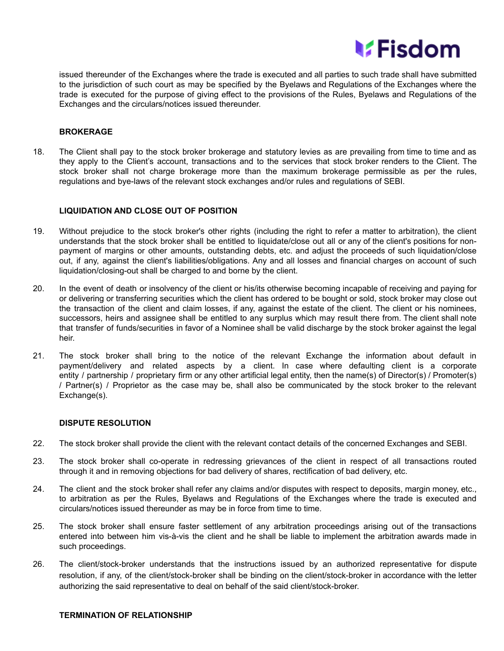

issued thereunder of the Exchanges where the trade is executed and all parties to such trade shall have submitted to the jurisdiction of such court as may be specified by the Byelaws and Regulations of the Exchanges where the trade is executed for the purpose of giving effect to the provisions of the Rules, Byelaws and Regulations of the Exchanges and the circulars/notices issued thereunder.

#### **BROKERAGE**

18. The Client shall pay to the stock broker brokerage and statutory levies as are prevailing from time to time and as they apply to the Client's account, transactions and to the services that stock broker renders to the Client. The stock broker shall not charge brokerage more than the maximum brokerage permissible as per the rules, regulations and bye-laws of the relevant stock exchanges and/or rules and regulations of SEBI.

#### **LIQUIDATION AND CLOSE OUT OF POSITION**

- 19. Without prejudice to the stock broker's other rights (including the right to refer a matter to arbitration), the client understands that the stock broker shall be entitled to liquidate/close out all or any of the client's positions for nonpayment of margins or other amounts, outstanding debts, etc. and adjust the proceeds of such liquidation/close out, if any, against the client's liabilities/obligations. Any and all losses and financial charges on account of such liquidation/closing-out shall be charged to and borne by the client.
- 20. In the event of death or insolvency of the client or his/its otherwise becoming incapable of receiving and paying for or delivering or transferring securities which the client has ordered to be bought or sold, stock broker may close out the transaction of the client and claim losses, if any, against the estate of the client. The client or his nominees, successors, heirs and assignee shall be entitled to any surplus which may result there from. The client shall note that transfer of funds/securities in favor of a Nominee shall be valid discharge by the stock broker against the legal heir.
- 21. The stock broker shall bring to the notice of the relevant Exchange the information about default in payment/delivery and related aspects by a client. In case where defaulting client is a corporate entity / partnership / proprietary firm or any other artificial legal entity, then the name(s) of Director(s) / Promoter(s) / Partner(s) / Proprietor as the case may be, shall also be communicated by the stock broker to the relevant Exchange(s).

#### **DISPUTE RESOLUTION**

- 22. The stock broker shall provide the client with the relevant contact details of the concerned Exchanges and SEBI.
- 23. The stock broker shall co-operate in redressing grievances of the client in respect of all transactions routed through it and in removing objections for bad delivery of shares, rectification of bad delivery, etc.
- 24. The client and the stock broker shall refer any claims and/or disputes with respect to deposits, margin money, etc., to arbitration as per the Rules, Byelaws and Regulations of the Exchanges where the trade is executed and circulars/notices issued thereunder as may be in force from time to time.
- 25. The stock broker shall ensure faster settlement of any arbitration proceedings arising out of the transactions entered into between him vis-à-vis the client and he shall be liable to implement the arbitration awards made in such proceedings.
- 26. The client/stock-broker understands that the instructions issued by an authorized representative for dispute resolution, if any, of the client/stock-broker shall be binding on the client/stock-broker in accordance with the letter authorizing the said representative to deal on behalf of the said client/stock-broker.

## **TERMINATION OF RELATIONSHIP**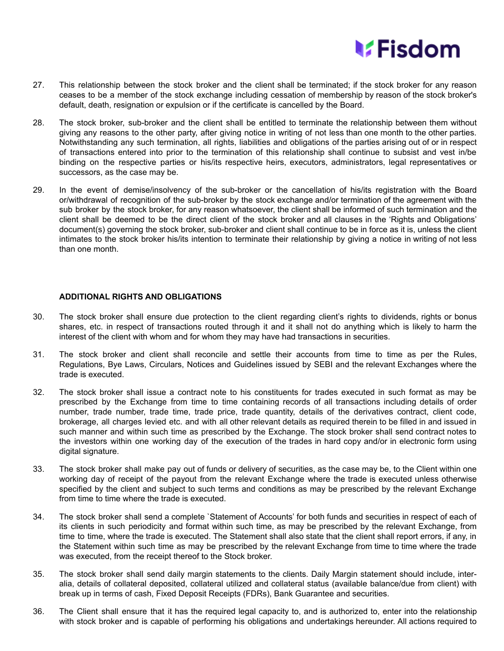

- 27. This relationship between the stock broker and the client shall be terminated; if the stock broker for any reason ceases to be a member of the stock exchange including cessation of membership by reason of the stock broker's default, death, resignation or expulsion or if the certificate is cancelled by the Board.
- 28. The stock broker, sub-broker and the client shall be entitled to terminate the relationship between them without giving any reasons to the other party, after giving notice in writing of not less than one month to the other parties. Notwithstanding any such termination, all rights, liabilities and obligations of the parties arising out of or in respect of transactions entered into prior to the termination of this relationship shall continue to subsist and vest in/be binding on the respective parties or his/its respective heirs, executors, administrators, legal representatives or successors, as the case may be.
- 29. In the event of demise/insolvency of the sub-broker or the cancellation of his/its registration with the Board or/withdrawal of recognition of the sub-broker by the stock exchange and/or termination of the agreement with the sub broker by the stock broker, for any reason whatsoever, the client shall be informed of such termination and the client shall be deemed to be the direct client of the stock broker and all clauses in the 'Rights and Obligations' document(s) governing the stock broker, sub-broker and client shall continue to be in force as it is, unless the client intimates to the stock broker his/its intention to terminate their relationship by giving a notice in writing of not less than one month.

## **ADDITIONAL RIGHTS AND OBLIGATIONS**

- 30. The stock broker shall ensure due protection to the client regarding client's rights to dividends, rights or bonus shares, etc. in respect of transactions routed through it and it shall not do anything which is likely to harm the interest of the client with whom and for whom they may have had transactions in securities.
- 31. The stock broker and client shall reconcile and settle their accounts from time to time as per the Rules, Regulations, Bye Laws, Circulars, Notices and Guidelines issued by SEBI and the relevant Exchanges where the trade is executed.
- 32. The stock broker shall issue a contract note to his constituents for trades executed in such format as may be prescribed by the Exchange from time to time containing records of all transactions including details of order number, trade number, trade time, trade price, trade quantity, details of the derivatives contract, client code, brokerage, all charges levied etc. and with all other relevant details as required therein to be filled in and issued in such manner and within such time as prescribed by the Exchange. The stock broker shall send contract notes to the investors within one working day of the execution of the trades in hard copy and/or in electronic form using digital signature.
- 33. The stock broker shall make pay out of funds or delivery of securities, as the case may be, to the Client within one working day of receipt of the payout from the relevant Exchange where the trade is executed unless otherwise specified by the client and subject to such terms and conditions as may be prescribed by the relevant Exchange from time to time where the trade is executed.
- 34. The stock broker shall send a complete `Statement of Accounts' for both funds and securities in respect of each of its clients in such periodicity and format within such time, as may be prescribed by the relevant Exchange, from time to time, where the trade is executed. The Statement shall also state that the client shall report errors, if any, in the Statement within such time as may be prescribed by the relevant Exchange from time to time where the trade was executed, from the receipt thereof to the Stock broker.
- 35. The stock broker shall send daily margin statements to the clients. Daily Margin statement should include, interalia, details of collateral deposited, collateral utilized and collateral status (available balance/due from client) with break up in terms of cash, Fixed Deposit Receipts (FDRs), Bank Guarantee and securities.
- 36. The Client shall ensure that it has the required legal capacity to, and is authorized to, enter into the relationship with stock broker and is capable of performing his obligations and undertakings hereunder. All actions required to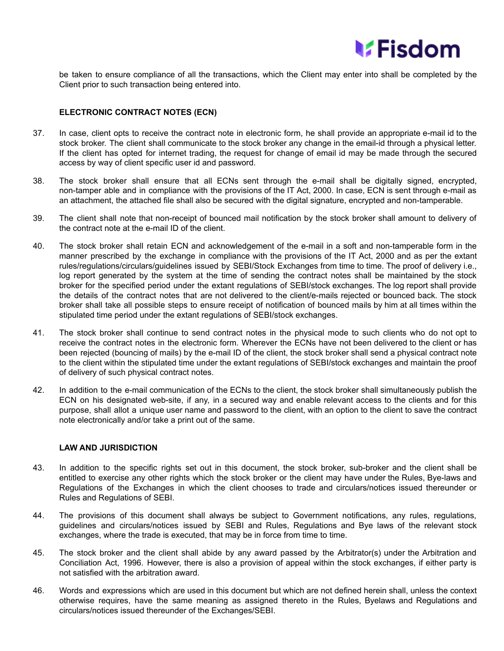

be taken to ensure compliance of all the transactions, which the Client may enter into shall be completed by the Client prior to such transaction being entered into.

## **ELECTRONIC CONTRACT NOTES (ECN)**

- 37. In case, client opts to receive the contract note in electronic form, he shall provide an appropriate e-mail id to the stock broker. The client shall communicate to the stock broker any change in the email-id through a physical letter. If the client has opted for internet trading, the request for change of email id may be made through the secured access by way of client specific user id and password.
- 38. The stock broker shall ensure that all ECNs sent through the e-mail shall be digitally signed, encrypted, non-tamper able and in compliance with the provisions of the IT Act, 2000. In case, ECN is sent through e-mail as an attachment, the attached file shall also be secured with the digital signature, encrypted and non-tamperable.
- 39. The client shall note that non-receipt of bounced mail notification by the stock broker shall amount to delivery of the contract note at the e-mail ID of the client.
- 40. The stock broker shall retain ECN and acknowledgement of the e-mail in a soft and non-tamperable form in the manner prescribed by the exchange in compliance with the provisions of the IT Act, 2000 and as per the extant rules/regulations/circulars/guidelines issued by SEBI/Stock Exchanges from time to time. The proof of delivery i.e., log report generated by the system at the time of sending the contract notes shall be maintained by the stock broker for the specified period under the extant regulations of SEBI/stock exchanges. The log report shall provide the details of the contract notes that are not delivered to the client/e-mails rejected or bounced back. The stock broker shall take all possible steps to ensure receipt of notification of bounced mails by him at all times within the stipulated time period under the extant regulations of SEBI/stock exchanges.
- 41. The stock broker shall continue to send contract notes in the physical mode to such clients who do not opt to receive the contract notes in the electronic form. Wherever the ECNs have not been delivered to the client or has been rejected (bouncing of mails) by the e-mail ID of the client, the stock broker shall send a physical contract note to the client within the stipulated time under the extant regulations of SEBI/stock exchanges and maintain the proof of delivery of such physical contract notes.
- 42. In addition to the e-mail communication of the ECNs to the client, the stock broker shall simultaneously publish the ECN on his designated web-site, if any, in a secured way and enable relevant access to the clients and for this purpose, shall allot a unique user name and password to the client, with an option to the client to save the contract note electronically and/or take a print out of the same.

## **LAW AND JURISDICTION**

- 43. In addition to the specific rights set out in this document, the stock broker, sub-broker and the client shall be entitled to exercise any other rights which the stock broker or the client may have under the Rules, Bye-laws and Regulations of the Exchanges in which the client chooses to trade and circulars/notices issued thereunder or Rules and Regulations of SEBI.
- 44. The provisions of this document shall always be subject to Government notifications, any rules, regulations, guidelines and circulars/notices issued by SEBI and Rules, Regulations and Bye laws of the relevant stock exchanges, where the trade is executed, that may be in force from time to time.
- 45. The stock broker and the client shall abide by any award passed by the Arbitrator(s) under the Arbitration and Conciliation Act, 1996. However, there is also a provision of appeal within the stock exchanges, if either party is not satisfied with the arbitration award.
- 46. Words and expressions which are used in this document but which are not defined herein shall, unless the context otherwise requires, have the same meaning as assigned thereto in the Rules, Byelaws and Regulations and circulars/notices issued thereunder of the Exchanges/SEBI.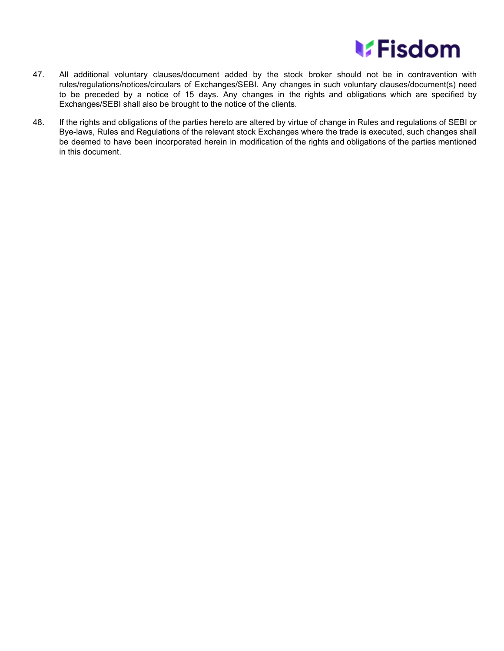

- 47. All additional voluntary clauses/document added by the stock broker should not be in contravention with rules/regulations/notices/circulars of Exchanges/SEBI. Any changes in such voluntary clauses/document(s) need to be preceded by a notice of 15 days. Any changes in the rights and obligations which are specified by Exchanges/SEBI shall also be brought to the notice of the clients.
- 48. If the rights and obligations of the parties hereto are altered by virtue of change in Rules and regulations of SEBI or Bye-laws, Rules and Regulations of the relevant stock Exchanges where the trade is executed, such changes shall be deemed to have been incorporated herein in modification of the rights and obligations of the parties mentioned in this document.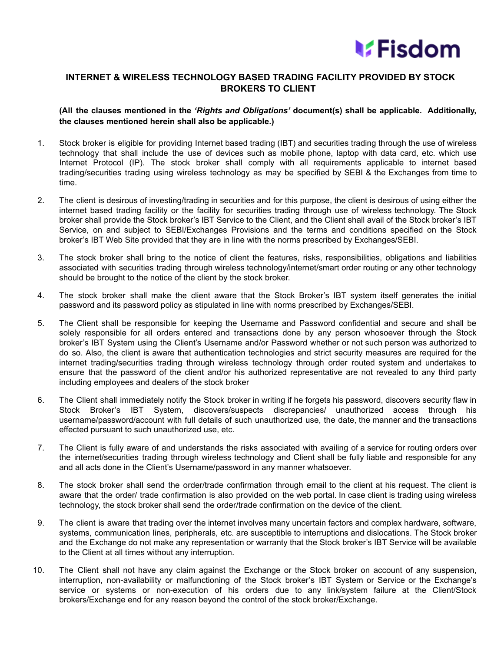

## **INTERNET & WIRELESS TECHNOLOGY BASED TRADING FACILITY PROVIDED BY STOCK BROKERS TO CLIENT**

**(All the clauses mentioned in the** *'Rights and Obligations'* **document(s) shall be applicable. Additionally, the clauses mentioned herein shall also be applicable.)**

- 1. Stock broker is eligible for providing Internet based trading (IBT) and securities trading through the use of wireless technology that shall include the use of devices such as mobile phone, laptop with data card, etc. which use Internet Protocol (IP). The stock broker shall comply with all requirements applicable to internet based trading/securities trading using wireless technology as may be specified by SEBI & the Exchanges from time to time.
- 2. The client is desirous of investing/trading in securities and for this purpose, the client is desirous of using either the internet based trading facility or the facility for securities trading through use of wireless technology. The Stock broker shall provide the Stock broker's IBT Service to the Client, and the Client shall avail of the Stock broker's IBT Service, on and subject to SEBI/Exchanges Provisions and the terms and conditions specified on the Stock broker's IBT Web Site provided that they are in line with the norms prescribed by Exchanges/SEBI.
- 3. The stock broker shall bring to the notice of client the features, risks, responsibilities, obligations and liabilities associated with securities trading through wireless technology/internet/smart order routing or any other technology should be brought to the notice of the client by the stock broker.
- 4. The stock broker shall make the client aware that the Stock Broker's IBT system itself generates the initial password and its password policy as stipulated in line with norms prescribed by Exchanges/SEBI.
- 5. The Client shall be responsible for keeping the Username and Password confidential and secure and shall be solely responsible for all orders entered and transactions done by any person whosoever through the Stock broker's IBT System using the Client's Username and/or Password whether or not such person was authorized to do so. Also, the client is aware that authentication technologies and strict security measures are required for the internet trading/securities trading through wireless technology through order routed system and undertakes to ensure that the password of the client and/or his authorized representative are not revealed to any third party including employees and dealers of the stock broker
- 6. The Client shall immediately notify the Stock broker in writing if he forgets his password, discovers security flaw in Stock Broker's IBT System, discovers/suspects discrepancies/ unauthorized access through his username/password/account with full details of such unauthorized use, the date, the manner and the transactions effected pursuant to such unauthorized use, etc.
- 7. The Client is fully aware of and understands the risks associated with availing of a service for routing orders over the internet/securities trading through wireless technology and Client shall be fully liable and responsible for any and all acts done in the Client's Username/password in any manner whatsoever.
- 8. The stock broker shall send the order/trade confirmation through email to the client at his request. The client is aware that the order/ trade confirmation is also provided on the web portal. In case client is trading using wireless technology, the stock broker shall send the order/trade confirmation on the device of the client.
- 9. The client is aware that trading over the internet involves many uncertain factors and complex hardware, software, systems, communication lines, peripherals, etc. are susceptible to interruptions and dislocations. The Stock broker and the Exchange do not make any representation or warranty that the Stock broker's IBT Service will be available to the Client at all times without any interruption.
- 10. The Client shall not have any claim against the Exchange or the Stock broker on account of any suspension, interruption, non-availability or malfunctioning of the Stock broker's IBT System or Service or the Exchange's service or systems or non-execution of his orders due to any link/system failure at the Client/Stock brokers/Exchange end for any reason beyond the control of the stock broker/Exchange.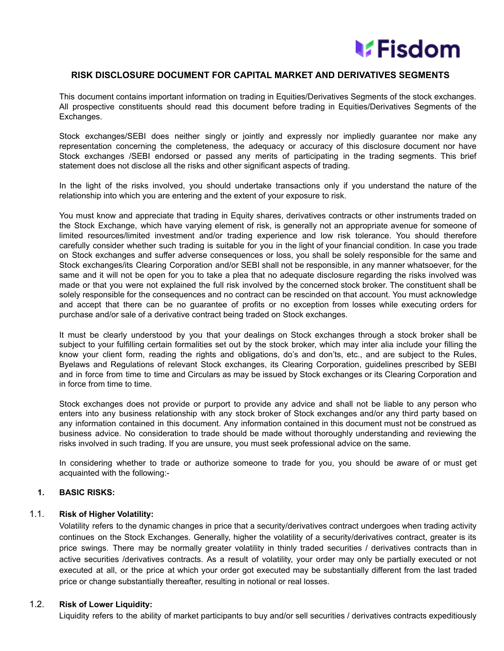

## **RISK DISCLOSURE DOCUMENT FOR CAPITAL MARKET AND DERIVATIVES SEGMENTS**

This document contains important information on trading in Equities/Derivatives Segments of the stock exchanges. All prospective constituents should read this document before trading in Equities/Derivatives Segments of the Exchanges.

Stock exchanges/SEBI does neither singly or jointly and expressly nor impliedly guarantee nor make any representation concerning the completeness, the adequacy or accuracy of this disclosure document nor have Stock exchanges /SEBI endorsed or passed any merits of participating in the trading segments. This brief statement does not disclose all the risks and other significant aspects of trading.

In the light of the risks involved, you should undertake transactions only if you understand the nature of the relationship into which you are entering and the extent of your exposure to risk.

You must know and appreciate that trading in Equity shares, derivatives contracts or other instruments traded on the Stock Exchange, which have varying element of risk, is generally not an appropriate avenue for someone of limited resources/limited investment and/or trading experience and low risk tolerance. You should therefore carefully consider whether such trading is suitable for you in the light of your financial condition. In case you trade on Stock exchanges and suffer adverse consequences or loss, you shall be solely responsible for the same and Stock exchanges/its Clearing Corporation and/or SEBI shall not be responsible, in any manner whatsoever, for the same and it will not be open for you to take a plea that no adequate disclosure regarding the risks involved was made or that you were not explained the full risk involved by the concerned stock broker. The constituent shall be solely responsible for the consequences and no contract can be rescinded on that account. You must acknowledge and accept that there can be no guarantee of profits or no exception from losses while executing orders for purchase and/or sale of a derivative contract being traded on Stock exchanges.

It must be clearly understood by you that your dealings on Stock exchanges through a stock broker shall be subject to your fulfilling certain formalities set out by the stock broker, which may inter alia include your filling the know your client form, reading the rights and obligations, do's and don'ts, etc., and are subject to the Rules, Byelaws and Regulations of relevant Stock exchanges, its Clearing Corporation, guidelines prescribed by SEBI and in force from time to time and Circulars as may be issued by Stock exchanges or its Clearing Corporation and in force from time to time.

Stock exchanges does not provide or purport to provide any advice and shall not be liable to any person who enters into any business relationship with any stock broker of Stock exchanges and/or any third party based on any information contained in this document. Any information contained in this document must not be construed as business advice. No consideration to trade should be made without thoroughly understanding and reviewing the risks involved in such trading. If you are unsure, you must seek professional advice on the same.

In considering whether to trade or authorize someone to trade for you, you should be aware of or must get acquainted with the following:-

## **1. BASIC RISKS:**

## 1.1. **Risk of Higher Volatility:**

Volatility refers to the dynamic changes in price that a security/derivatives contract undergoes when trading activity continues on the Stock Exchanges. Generally, higher the volatility of a security/derivatives contract, greater is its price swings. There may be normally greater volatility in thinly traded securities / derivatives contracts than in active securities /derivatives contracts. As a result of volatility, your order may only be partially executed or not executed at all, or the price at which your order got executed may be substantially different from the last traded price or change substantially thereafter, resulting in notional or real losses.

## 1.2. **Risk of Lower Liquidity:**

Liquidity refers to the ability of market participants to buy and/or sell securities / derivatives contracts expeditiously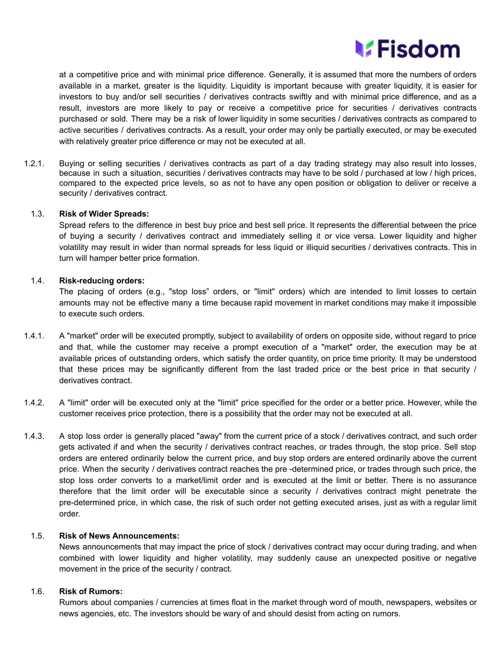

at a competitive price and with minimal price difference. Generally, it is assumed that more the numbers of orders available in a market, greater is the liquidity. Liquidity is important because with greater liquidity, it is easier for investors to buy and/or sell securities / derivatives contracts swiftly and with minimal price difference, and as a result, investors are more likely to pay or receive a competitive price for securities / derivatives contracts purchased or sold. There may be a risk of lower liquidity in some securities / derivatives contracts as compared to active securities / derivatives contracts. As a result, your order may only be partially executed, or may be executed with relatively greater price difference or may not be executed at all.

1.2.1. Buying or selling securities / derivatives contracts as part of a day trading strategy may also result into losses, because in such a situation, securities / derivatives contracts may have to be sold / purchased at low / high prices, compared to the expected price levels, so as not to have any open position or obligation to deliver or receive a security / derivatives contract.

#### 1.3. **Risk of Wider Spreads:**

Spread refers to the difference in best buy price and best sell price. It represents the differential between the price of buying a security / derivatives contract and immediately selling it or vice versa. Lower liquidity and higher volatility may result in wider than normal spreads for less liquid or illiquid securities / derivatives contracts. This in turn will hamper better price formation.

## 1.4. **Risk-reducing orders:**

The placing of orders (e.g., "stop loss" orders, or "limit" orders) which are intended to limit losses to certain amounts may not be effective many a time because rapid movement in market conditions may make it impossible to execute such orders.

- 1.4.1. A "market" order will be executed promptly, subject to availability of orders on opposite side, without regard to price and that, while the customer may receive a prompt execution of a "market" order, the execution may be at available prices of outstanding orders, which satisfy the order quantity, on price time priority. It may be understood that these prices may be significantly different from the last traded price or the best price in that security / derivatives contract.
- 1.4.2. A "limit" order will be executed only at the "limit" price specified for the order or a better price. However, while the customer receives price protection, there is a possibility that the order may not be executed at all.
- 1.4.3. A stop loss order is generally placed "away" from the current price of a stock / derivatives contract, and such order gets activated if and when the security / derivatives contract reaches, or trades through, the stop price. Sell stop orders are entered ordinarily below the current price, and buy stop orders are entered ordinarily above the current price. When the security / derivatives contract reaches the pre -determined price, or trades through such price, the stop loss order converts to a market/limit order and is executed at the limit or better. There is no assurance therefore that the limit order will be executable since a security / derivatives contract might penetrate the pre-determined price, in which case, the risk of such order not getting executed arises, just as with a regular limit order.

#### 1.5. **Risk of News Announcements:**

News announcements that may impact the price of stock / derivatives contract may occur during trading, and when combined with lower liquidity and higher volatility, may suddenly cause an unexpected positive or negative movement in the price of the security / contract.

#### 1.6. **Risk of Rumors:**

Rumors about companies / currencies at times float in the market through word of mouth, newspapers, websites or news agencies, etc. The investors should be wary of and should desist from acting on rumors.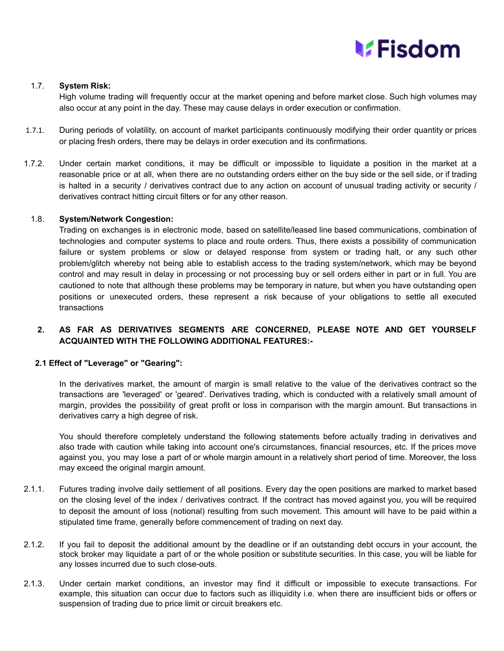## **V**Fisdom

## 1.7. **System Risk:**

High volume trading will frequently occur at the market opening and before market close. Such high volumes may also occur at any point in the day. These may cause delays in order execution or confirmation.

- 1.7.1. During periods of volatility, on account of market participants continuously modifying their order quantity or prices or placing fresh orders, there may be delays in order execution and its confirmations.
- 1.7.2. Under certain market conditions, it may be difficult or impossible to liquidate a position in the market at a reasonable price or at all, when there are no outstanding orders either on the buy side or the sell side, or if trading is halted in a security / derivatives contract due to any action on account of unusual trading activity or security / derivatives contract hitting circuit filters or for any other reason.

## 1.8. **System/Network Congestion:**

Trading on exchanges is in electronic mode, based on satellite/leased line based communications, combination of technologies and computer systems to place and route orders. Thus, there exists a possibility of communication failure or system problems or slow or delayed response from system or trading halt, or any such other problem/glitch whereby not being able to establish access to the trading system/network, which may be beyond control and may result in delay in processing or not processing buy or sell orders either in part or in full. You are cautioned to note that although these problems may be temporary in nature, but when you have outstanding open positions or unexecuted orders, these represent a risk because of your obligations to settle all executed transactions

## **2. AS FAR AS DERIVATIVES SEGMENTS ARE CONCERNED, PLEASE NOTE AND GET YOURSELF ACQUAINTED WITH THE FOLLOWING ADDITIONAL FEATURES:-**

## **2.1 Effect of "Leverage" or "Gearing":**

In the derivatives market, the amount of margin is small relative to the value of the derivatives contract so the transactions are 'leveraged' or 'geared'. Derivatives trading, which is conducted with a relatively small amount of margin, provides the possibility of great profit or loss in comparison with the margin amount. But transactions in derivatives carry a high degree of risk.

You should therefore completely understand the following statements before actually trading in derivatives and also trade with caution while taking into account one's circumstances, financial resources, etc. If the prices move against you, you may lose a part of or whole margin amount in a relatively short period of time. Moreover, the loss may exceed the original margin amount.

- 2.1.1. Futures trading involve daily settlement of all positions. Every day the open positions are marked to market based on the closing level of the index / derivatives contract. If the contract has moved against you, you will be required to deposit the amount of loss (notional) resulting from such movement. This amount will have to be paid within a stipulated time frame, generally before commencement of trading on next day.
- 2.1.2. If you fail to deposit the additional amount by the deadline or if an outstanding debt occurs in your account, the stock broker may liquidate a part of or the whole position or substitute securities. In this case, you will be liable for any losses incurred due to such close-outs.
- 2.1.3. Under certain market conditions, an investor may find it difficult or impossible to execute transactions. For example, this situation can occur due to factors such as illiquidity i.e. when there are insufficient bids or offers or suspension of trading due to price limit or circuit breakers etc.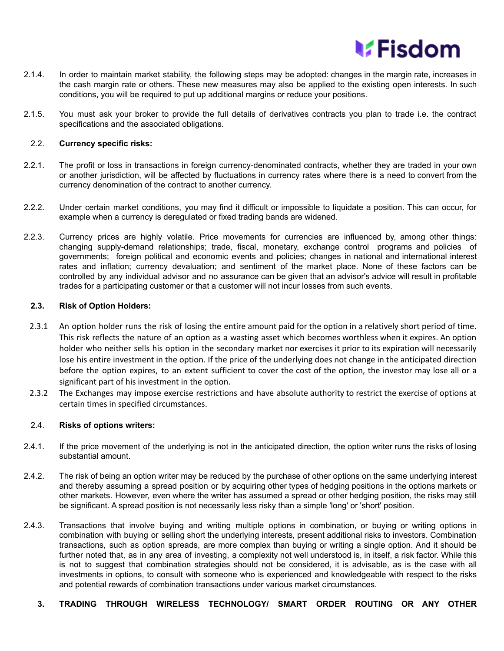

- 2.1.4. In order to maintain market stability, the following steps may be adopted: changes in the margin rate, increases in the cash margin rate or others. These new measures may also be applied to the existing open interests. In such conditions, you will be required to put up additional margins or reduce your positions.
- 2.1.5. You must ask your broker to provide the full details of derivatives contracts you plan to trade i.e. the contract specifications and the associated obligations.

## 2.2. **Currency specific risks:**

- 2.2.1. The profit or loss in transactions in foreign currency-denominated contracts, whether they are traded in your own or another jurisdiction, will be affected by fluctuations in currency rates where there is a need to convert from the currency denomination of the contract to another currency.
- 2.2.2. Under certain market conditions, you may find it difficult or impossible to liquidate a position. This can occur, for example when a currency is deregulated or fixed trading bands are widened.
- 2.2.3. Currency prices are highly volatile. Price movements for currencies are influenced by, among other things: changing supply-demand relationships; trade, fiscal, monetary, exchange control programs and policies of governments; foreign political and economic events and policies; changes in national and international interest rates and inflation; currency devaluation; and sentiment of the market place. None of these factors can be controlled by any individual advisor and no assurance can be given that an advisor's advice will result in profitable trades for a participating customer or that a customer will not incur losses from such events.

#### **2.3. Risk of Option Holders:**

- 2.3.1 An option holder runs the risk of losing the entire amount paid for the option in a relatively short period of time. This risk reflects the nature of an option as a wasting asset which becomes worthless when it expires. An option holder who neither sells his option in the secondary market nor exercises it prior to its expiration will necessarily lose his entire investment in the option. If the price of the underlying does not change in the anticipated direction before the option expires, to an extent sufficient to cover the cost of the option, the investor may lose all or a significant part of his investment in the option.
- 2.3.2 The Exchanges may impose exercise restrictions and have absolute authority to restrict the exercise of options at certain times in specified circumstances.

## 2.4. **Risks of options writers:**

- 2.4.1. If the price movement of the underlying is not in the anticipated direction, the option writer runs the risks of losing substantial amount.
- 2.4.2. The risk of being an option writer may be reduced by the purchase of other options on the same underlying interest and thereby assuming a spread position or by acquiring other types of hedging positions in the options markets or other markets. However, even where the writer has assumed a spread or other hedging position, the risks may still be significant. A spread position is not necessarily less risky than a simple 'long' or 'short' position.
- 2.4.3. Transactions that involve buying and writing multiple options in combination, or buying or writing options in combination with buying or selling short the underlying interests, present additional risks to investors. Combination transactions, such as option spreads, are more complex than buying or writing a single option. And it should be further noted that, as in any area of investing, a complexity not well understood is, in itself, a risk factor. While this is not to suggest that combination strategies should not be considered, it is advisable, as is the case with all investments in options, to consult with someone who is experienced and knowledgeable with respect to the risks and potential rewards of combination transactions under various market circumstances.
	- **3. TRADING THROUGH WIRELESS TECHNOLOGY/ SMART ORDER ROUTING OR ANY OTHER**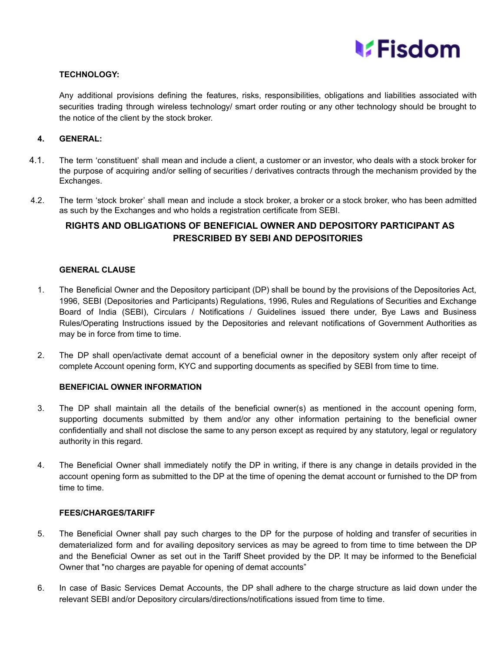

## **TECHNOLOGY:**

Any additional provisions defining the features, risks, responsibilities, obligations and liabilities associated with securities trading through wireless technology/ smart order routing or any other technology should be brought to the notice of the client by the stock broker.

## **4. GENERAL:**

- 4.1. The term 'constituent' shall mean and include a client, a customer or an investor, who deals with a stock broker for the purpose of acquiring and/or selling of securities / derivatives contracts through the mechanism provided by the Exchanges.
- 4.2. The term 'stock broker' shall mean and include a stock broker, a broker or a stock broker, who has been admitted as such by the Exchanges and who holds a registration certificate from SEBI.

## **RIGHTS AND OBLIGATIONS OF BENEFICIAL OWNER AND DEPOSITORY PARTICIPANT AS PRESCRIBED BY SEBI AND DEPOSITORIES**

## **GENERAL CLAUSE**

- 1. The Beneficial Owner and the Depository participant (DP) shall be bound by the provisions of the Depositories Act, 1996, SEBI (Depositories and Participants) Regulations, 1996, Rules and Regulations of Securities and Exchange Board of India (SEBI), Circulars / Notifications / Guidelines issued there under, Bye Laws and Business Rules/Operating Instructions issued by the Depositories and relevant notifications of Government Authorities as may be in force from time to time.
- 2. The DP shall open/activate demat account of a beneficial owner in the depository system only after receipt of complete Account opening form, KYC and supporting documents as specified by SEBI from time to time.

## **BENEFICIAL OWNER INFORMATION**

- 3. The DP shall maintain all the details of the beneficial owner(s) as mentioned in the account opening form, supporting documents submitted by them and/or any other information pertaining to the beneficial owner confidentially and shall not disclose the same to any person except as required by any statutory, legal or regulatory authority in this regard.
- 4. The Beneficial Owner shall immediately notify the DP in writing, if there is any change in details provided in the account opening form as submitted to the DP at the time of opening the demat account or furnished to the DP from time to time.

## **FEES/CHARGES/TARIFF**

- 5. The Beneficial Owner shall pay such charges to the DP for the purpose of holding and transfer of securities in dematerialized form and for availing depository services as may be agreed to from time to time between the DP and the Beneficial Owner as set out in the Tariff Sheet provided by the DP. It may be informed to the Beneficial Owner that "no charges are payable for opening of demat accounts"
- 6. In case of Basic Services Demat Accounts, the DP shall adhere to the charge structure as laid down under the relevant SEBI and/or Depository circulars/directions/notifications issued from time to time.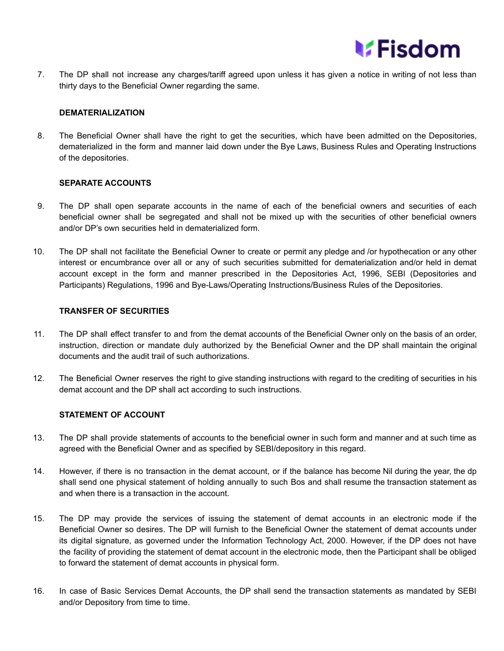

7. The DP shall not increase any charges/tariff agreed upon unless it has given a notice in writing of not less than thirty days to the Beneficial Owner regarding the same.

## **DEMATERIALIZATION**

8. The Beneficial Owner shall have the right to get the securities, which have been admitted on the Depositories, dematerialized in the form and manner laid down under the Bye Laws, Business Rules and Operating Instructions of the depositories.

## **SEPARATE ACCOUNTS**

- 9. The DP shall open separate accounts in the name of each of the beneficial owners and securities of each beneficial owner shall be segregated and shall not be mixed up with the securities of other beneficial owners and/or DP's own securities held in dematerialized form.
- 10. The DP shall not facilitate the Beneficial Owner to create or permit any pledge and /or hypothecation or any other interest or encumbrance over all or any of such securities submitted for dematerialization and/or held in demat account except in the form and manner prescribed in the Depositories Act, 1996, SEBI (Depositories and Participants) Regulations, 1996 and Bye-Laws/Operating Instructions/Business Rules of the Depositories.

## **TRANSFER OF SECURITIES**

- 11. The DP shall effect transfer to and from the demat accounts of the Beneficial Owner only on the basis of an order, instruction, direction or mandate duly authorized by the Beneficial Owner and the DP shall maintain the original documents and the audit trail of such authorizations.
- 12. The Beneficial Owner reserves the right to give standing instructions with regard to the crediting of securities in his demat account and the DP shall act according to such instructions.

## **STATEMENT OF ACCOUNT**

- 13. The DP shall provide statements of accounts to the beneficial owner in such form and manner and at such time as agreed with the Beneficial Owner and as specified by SEBI/depository in this regard.
- 14. However, if there is no transaction in the demat account, or if the balance has become Nil during the year, the dp shall send one physical statement of holding annually to such Bos and shall resume the transaction statement as and when there is a transaction in the account.
- 15. The DP may provide the services of issuing the statement of demat accounts in an electronic mode if the Beneficial Owner so desires. The DP will furnish to the Beneficial Owner the statement of demat accounts under its digital signature, as governed under the Information Technology Act, 2000. However, if the DP does not have the facility of providing the statement of demat account in the electronic mode, then the Participant shall be obliged to forward the statement of demat accounts in physical form.
- 16. In case of Basic Services Demat Accounts, the DP shall send the transaction statements as mandated by SEBI and/or Depository from time to time.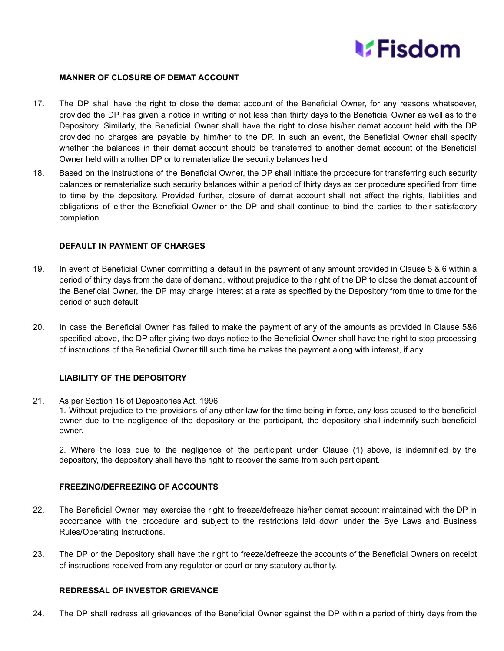

## **MANNER OF CLOSURE OF DEMAT ACCOUNT**

- 17. The DP shall have the right to close the demat account of the Beneficial Owner, for any reasons whatsoever, provided the DP has given a notice in writing of not less than thirty days to the Beneficial Owner as well as to the Depository. Similarly, the Beneficial Owner shall have the right to close his/her demat account held with the DP provided no charges are payable by him/her to the DP. In such an event, the Beneficial Owner shall specify whether the balances in their demat account should be transferred to another demat account of the Beneficial Owner held with another DP or to rematerialize the security balances held
- 18. Based on the instructions of the Beneficial Owner, the DP shall initiate the procedure for transferring such security balances or rematerialize such security balances within a period of thirty days as per procedure specified from time to time by the depository. Provided further, closure of demat account shall not affect the rights, liabilities and obligations of either the Beneficial Owner or the DP and shall continue to bind the parties to their satisfactory completion.

## **DEFAULT IN PAYMENT OF CHARGES**

- 19. In event of Beneficial Owner committing a default in the payment of any amount provided in Clause 5 & 6 within a period of thirty days from the date of demand, without prejudice to the right of the DP to close the demat account of the Beneficial Owner, the DP may charge interest at a rate as specified by the Depository from time to time for the period of such default.
- 20. In case the Beneficial Owner has failed to make the payment of any of the amounts as provided in Clause 5&6 specified above, the DP after giving two days notice to the Beneficial Owner shall have the right to stop processing of instructions of the Beneficial Owner till such time he makes the payment along with interest, if any.

## **LIABILITY OF THE DEPOSITORY**

21. As per Section 16 of Depositories Act, 1996,

1. Without prejudice to the provisions of any other law for the time being in force, any loss caused to the beneficial owner due to the negligence of the depository or the participant, the depository shall indemnify such beneficial owner.

2. Where the loss due to the negligence of the participant under Clause (1) above, is indemnified by the depository, the depository shall have the right to recover the same from such participant.

#### **FREEZING/DEFREEZING OF ACCOUNTS**

- 22. The Beneficial Owner may exercise the right to freeze/defreeze his/her demat account maintained with the DP in accordance with the procedure and subject to the restrictions laid down under the Bye Laws and Business Rules/Operating Instructions.
- 23. The DP or the Depository shall have the right to freeze/defreeze the accounts of the Beneficial Owners on receipt of instructions received from any regulator or court or any statutory authority.

#### **REDRESSAL OF INVESTOR GRIEVANCE**

24. The DP shall redress all grievances of the Beneficial Owner against the DP within a period of thirty days from the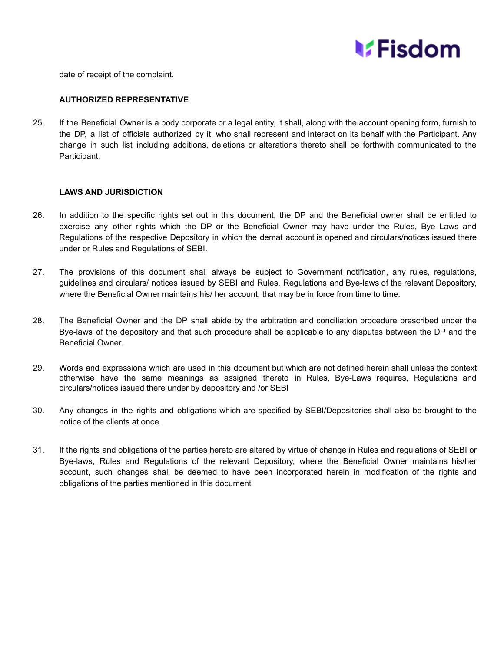

date of receipt of the complaint.

## **AUTHORIZED REPRESENTATIVE**

25. If the Beneficial Owner is a body corporate or a legal entity, it shall, along with the account opening form, furnish to the DP, a list of officials authorized by it, who shall represent and interact on its behalf with the Participant. Any change in such list including additions, deletions or alterations thereto shall be forthwith communicated to the Participant.

## **LAWS AND JURISDICTION**

- 26. In addition to the specific rights set out in this document, the DP and the Beneficial owner shall be entitled to exercise any other rights which the DP or the Beneficial Owner may have under the Rules, Bye Laws and Regulations of the respective Depository in which the demat account is opened and circulars/notices issued there under or Rules and Regulations of SEBI.
- 27. The provisions of this document shall always be subject to Government notification, any rules, regulations, guidelines and circulars/ notices issued by SEBI and Rules, Regulations and Bye-laws of the relevant Depository, where the Beneficial Owner maintains his/ her account, that may be in force from time to time.
- 28. The Beneficial Owner and the DP shall abide by the arbitration and conciliation procedure prescribed under the Bye-laws of the depository and that such procedure shall be applicable to any disputes between the DP and the Beneficial Owner.
- 29. Words and expressions which are used in this document but which are not defined herein shall unless the context otherwise have the same meanings as assigned thereto in Rules, Bye-Laws requires, Regulations and circulars/notices issued there under by depository and /or SEBI
- 30. Any changes in the rights and obligations which are specified by SEBI/Depositories shall also be brought to the notice of the clients at once.
- 31. If the rights and obligations of the parties hereto are altered by virtue of change in Rules and regulations of SEBI or Bye-laws, Rules and Regulations of the relevant Depository, where the Beneficial Owner maintains his/her account, such changes shall be deemed to have been incorporated herein in modification of the rights and obligations of the parties mentioned in this document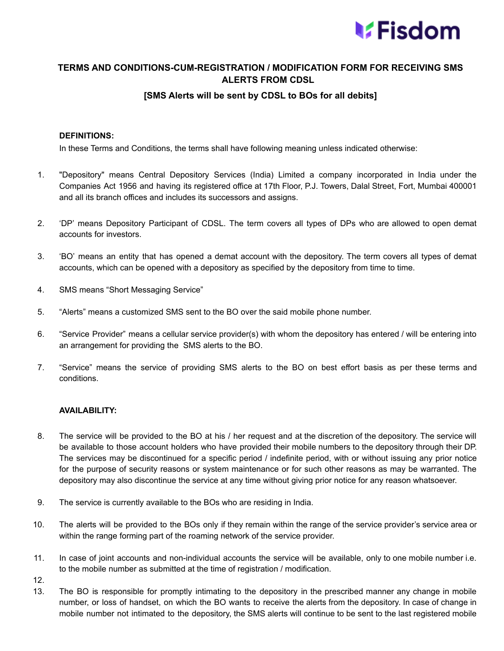

## **TERMS AND CONDITIONS-CUM-REGISTRATION / MODIFICATION FORM FOR RECEIVING SMS ALERTS FROM CDSL**

## **[SMS Alerts will be sent by CDSL to BOs for all debits]**

## **DEFINITIONS:**

In these Terms and Conditions, the terms shall have following meaning unless indicated otherwise:

- 1. "Depository" means Central Depository Services (India) Limited a company incorporated in India under the Companies Act 1956 and having its registered office at 17th Floor, P.J. Towers, Dalal Street, Fort, Mumbai 400001 and all its branch offices and includes its successors and assigns.
- 2. 'DP' means Depository Participant of CDSL. The term covers all types of DPs who are allowed to open demat accounts for investors.
- 3. 'BO' means an entity that has opened a demat account with the depository. The term covers all types of demat accounts, which can be opened with a depository as specified by the depository from time to time.
- 4. SMS means "Short Messaging Service"
- 5. "Alerts" means a customized SMS sent to the BO over the said mobile phone number.
- 6. "Service Provider" means a cellular service provider(s) with whom the depository has entered / will be entering into an arrangement for providing the SMS alerts to the BO.
- 7. "Service" means the service of providing SMS alerts to the BO on best effort basis as per these terms and conditions.

## **AVAILABILITY:**

- 8. The service will be provided to the BO at his / her request and at the discretion of the depository. The service will be available to those account holders who have provided their mobile numbers to the depository through their DP. The services may be discontinued for a specific period / indefinite period, with or without issuing any prior notice for the purpose of security reasons or system maintenance or for such other reasons as may be warranted. The depository may also discontinue the service at any time without giving prior notice for any reason whatsoever.
- 9. The service is currently available to the BOs who are residing in India.
- 10. The alerts will be provided to the BOs only if they remain within the range of the service provider's service area or within the range forming part of the roaming network of the service provider.
- 11. In case of joint accounts and non-individual accounts the service will be available, only to one mobile number i.e. to the mobile number as submitted at the time of registration / modification.
- 12.
- 13. The BO is responsible for promptly intimating to the depository in the prescribed manner any change in mobile number, or loss of handset, on which the BO wants to receive the alerts from the depository. In case of change in mobile number not intimated to the depository, the SMS alerts will continue to be sent to the last registered mobile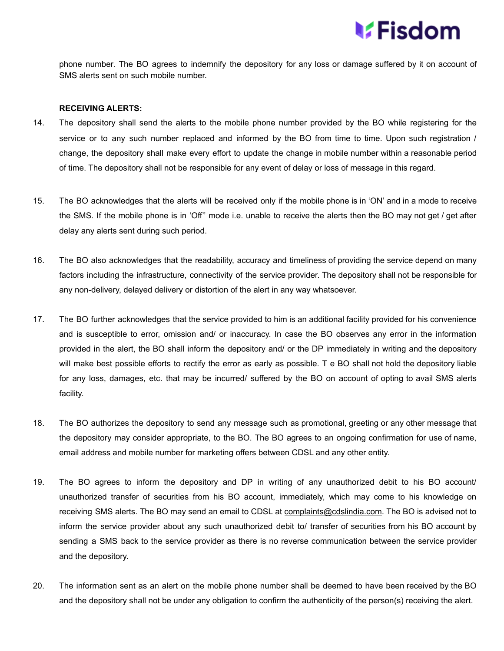

phone number. The BO agrees to indemnify the depository for any loss or damage suffered by it on account of SMS alerts sent on such mobile number.

#### **RECEIVING ALERTS:**

- 14. The depository shall send the alerts to the mobile phone number provided by the BO while registering for the service or to any such number replaced and informed by the BO from time to time. Upon such registration / change, the depository shall make every effort to update the change in mobile number within a reasonable period of time. The depository shall not be responsible for any event of delay or loss of message in this regard.
- 15. The BO acknowledges that the alerts will be received only if the mobile phone is in 'ON' and in a mode to receive the SMS. If the mobile phone is in 'Off'' mode i.e. unable to receive the alerts then the BO may not get / get after delay any alerts sent during such period.
- 16. The BO also acknowledges that the readability, accuracy and timeliness of providing the service depend on many factors including the infrastructure, connectivity of the service provider. The depository shall not be responsible for any non-delivery, delayed delivery or distortion of the alert in any way whatsoever.
- 17. The BO further acknowledges that the service provided to him is an additional facility provided for his convenience and is susceptible to error, omission and/ or inaccuracy. In case the BO observes any error in the information provided in the alert, the BO shall inform the depository and/ or the DP immediately in writing and the depository will make best possible efforts to rectify the error as early as possible. T e BO shall not hold the depository liable for any loss, damages, etc. that may be incurred/ suffered by the BO on account of opting to avail SMS alerts facility.
- 18. The BO authorizes the depository to send any message such as promotional, greeting or any other message that the depository may consider appropriate, to the BO. The BO agrees to an ongoing confirmation for use of name, email address and mobile number for marketing offers between CDSL and any other entity.
- 19. The BO agrees to inform the depository and DP in writing of any unauthorized debit to his BO account/ unauthorized transfer of securities from his BO account, immediately, which may come to his knowledge on receiving SMS alerts. The BO may send an email to CDSL at [complaints@cdslindia.com.](mailto:complaints@cdslindia.com) The BO is advised not to inform the service provider about any such unauthorized debit to/ transfer of securities from his BO account by sending a SMS back to the service provider as there is no reverse communication between the service provider and the depository.
- 20. The information sent as an alert on the mobile phone number shall be deemed to have been received by the BO and the depository shall not be under any obligation to confirm the authenticity of the person(s) receiving the alert.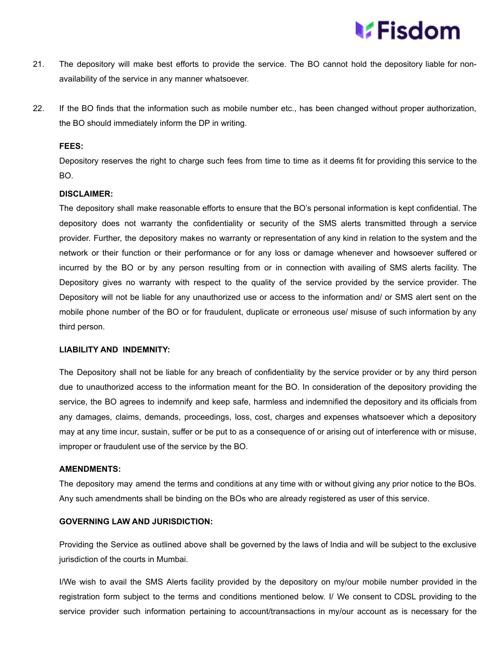## **V**:Fisdom

- 21. The depository will make best efforts to provide the service. The BO cannot hold the depository liable for nonavailability of the service in any manner whatsoever.
- 22. If the BO finds that the information such as mobile number etc., has been changed without proper authorization, the BO should immediately inform the DP in writing.

#### **FEES:**

Depository reserves the right to charge such fees from time to time as it deems fit for providing this service to the BO.

#### **DISCLAIMER:**

The depository shall make reasonable efforts to ensure that the BO's personal information is kept confidential. The depository does not warranty the confidentiality or security of the SMS alerts transmitted through a service provider. Further, the depository makes no warranty or representation of any kind in relation to the system and the network or their function or their performance or for any loss or damage whenever and howsoever suffered or incurred by the BO or by any person resulting from or in connection with availing of SMS alerts facility. The Depository gives no warranty with respect to the quality of the service provided by the service provider. The Depository will not be liable for any unauthorized use or access to the information and/ or SMS alert sent on the mobile phone number of the BO or for fraudulent, duplicate or erroneous use/ misuse of such information by any third person.

## **LIABILITY AND INDEMNITY:**

The Depository shall not be liable for any breach of confidentiality by the service provider or by any third person due to unauthorized access to the information meant for the BO. In consideration of the depository providing the service, the BO agrees to indemnify and keep safe, harmless and indemnified the depository and its officials from any damages, claims, demands, proceedings, loss, cost, charges and expenses whatsoever which a depository may at any time incur, sustain, suffer or be put to as a consequence of or arising out of interference with or misuse, improper or fraudulent use of the service by the BO.

#### **AMENDMENTS:**

The depository may amend the terms and conditions at any time with or without giving any prior notice to the BOs. Any such amendments shall be binding on the BOs who are already registered as user of this service.

## **GOVERNING LAW AND JURISDICTION:**

Providing the Service as outlined above shall be governed by the laws of India and will be subject to the exclusive jurisdiction of the courts in Mumbai.

I/We wish to avail the SMS Alerts facility provided by the depository on my/our mobile number provided in the registration form subject to the terms and conditions mentioned below. I/ We consent to CDSL providing to the service provider such information pertaining to account/transactions in my/our account as is necessary for the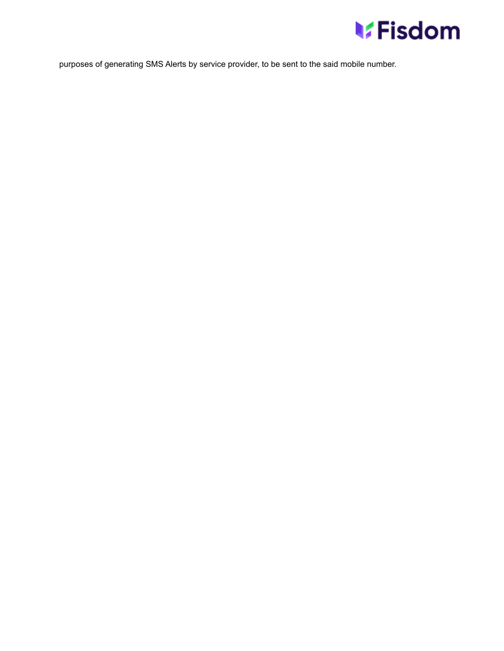

purposes of generating SMS Alerts by service provider, to be sent to the said mobile number.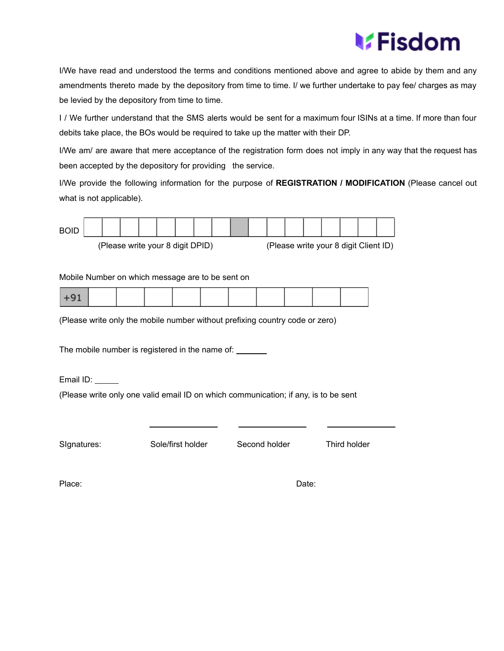# **V**Fisdom

I/We have read and understood the terms and conditions mentioned above and agree to abide by them and any amendments thereto made by the depository from time to time. I/ we further undertake to pay fee/ charges as may be levied by the depository from time to time.

I / We further understand that the SMS alerts would be sent for a maximum four ISINs at a time. If more than four debits take place, the BOs would be required to take up the matter with their DP.

I/We am/ are aware that mere acceptance of the registration form does not imply in any way that the request has been accepted by the depository for providing the service.

I/We provide the following information for the purpose of **REGISTRATION / MODIFICATION** (Please cancel out what is not applicable).



(Please write your 8 digit DPID)

|  |  |  | (Please write your 8 digit Client ID) |  |
|--|--|--|---------------------------------------|--|
|  |  |  |                                       |  |

Mobile Number on which message are to be sent on

|--|--|

(Please write only the mobile number without prefixing country code or zero)

The mobile number is registered in the name of: \_\_\_\_\_\_

Email ID: \_\_\_\_\_

(Please write only one valid email ID on which communication; if any, is to be sent

SIgnatures: Sole/first holder Second holder Third holder

Place: Date: Date: Date: Place: Place: Place: Place: Place: Place: Place: Place: Date: Place: Place: Place: Place: Place: Place: Place: Place: Place: Place: Place: Place: Place: Place: Place: Place: Place: Place: Place: Pl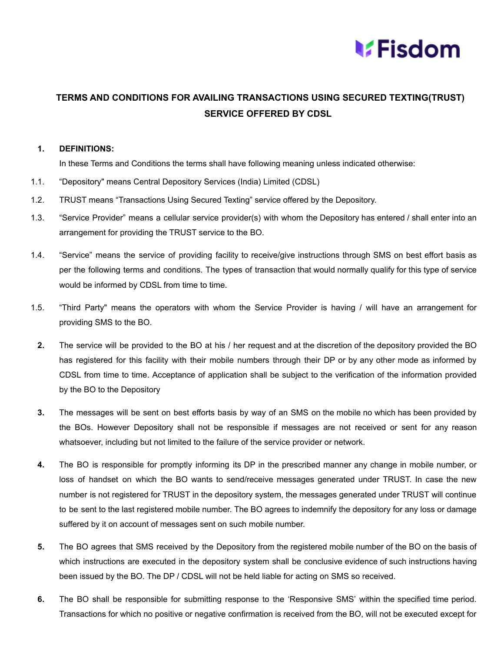

## **TERMS AND CONDITIONS FOR AVAILING TRANSACTIONS USING SECURED TEXTING(TRUST) SERVICE OFFERED BY CDSL**

## **1. DEFINITIONS:**

In these Terms and Conditions the terms shall have following meaning unless indicated otherwise:

- 1.1. "Depository" means Central Depository Services (India) Limited (CDSL)
- 1.2. TRUST means "Transactions Using Secured Texting" service offered by the Depository.
- 1.3. "Service Provider" means a cellular service provider(s) with whom the Depository has entered / shall enter into an arrangement for providing the TRUST service to the BO.
- 1.4. "Service" means the service of providing facility to receive/give instructions through SMS on best effort basis as per the following terms and conditions. The types of transaction that would normally qualify for this type of service would be informed by CDSL from time to time.
- 1.5. "Third Party" means the operators with whom the Service Provider is having / will have an arrangement for providing SMS to the BO.
	- **2.** The service will be provided to the BO at his / her request and at the discretion of the depository provided the BO has registered for this facility with their mobile numbers through their DP or by any other mode as informed by CDSL from time to time. Acceptance of application shall be subject to the verification of the information provided by the BO to the Depository
	- **3.** The messages will be sent on best efforts basis by way of an SMS on the mobile no which has been provided by the BOs. However Depository shall not be responsible if messages are not received or sent for any reason whatsoever, including but not limited to the failure of the service provider or network.
	- **4.** The BO is responsible for promptly informing its DP in the prescribed manner any change in mobile number, or loss of handset on which the BO wants to send/receive messages generated under TRUST. In case the new number is not registered for TRUST in the depository system, the messages generated under TRUST will continue to be sent to the last registered mobile number. The BO agrees to indemnify the depository for any loss or damage suffered by it on account of messages sent on such mobile number.
	- **5.** The BO agrees that SMS received by the Depository from the registered mobile number of the BO on the basis of which instructions are executed in the depository system shall be conclusive evidence of such instructions having been issued by the BO. The DP / CDSL will not be held liable for acting on SMS so received.
	- **6.** The BO shall be responsible for submitting response to the 'Responsive SMS' within the specified time period. Transactions for which no positive or negative confirmation is received from the BO, will not be executed except for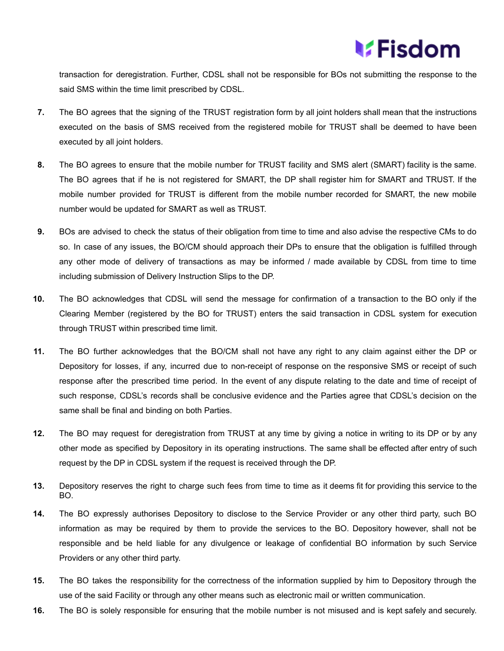

transaction for deregistration. Further, CDSL shall not be responsible for BOs not submitting the response to the said SMS within the time limit prescribed by CDSL.

- **7.** The BO agrees that the signing of the TRUST registration form by all joint holders shall mean that the instructions executed on the basis of SMS received from the registered mobile for TRUST shall be deemed to have been executed by all joint holders.
- **8.** The BO agrees to ensure that the mobile number for TRUST facility and SMS alert (SMART) facility is the same. The BO agrees that if he is not registered for SMART, the DP shall register him for SMART and TRUST. If the mobile number provided for TRUST is different from the mobile number recorded for SMART, the new mobile number would be updated for SMART as well as TRUST.
- **9.** BOs are advised to check the status of their obligation from time to time and also advise the respective CMs to do so. In case of any issues, the BO/CM should approach their DPs to ensure that the obligation is fulfilled through any other mode of delivery of transactions as may be informed / made available by CDSL from time to time including submission of Delivery Instruction Slips to the DP.
- **10.** The BO acknowledges that CDSL will send the message for confirmation of a transaction to the BO only if the Clearing Member (registered by the BO for TRUST) enters the said transaction in CDSL system for execution through TRUST within prescribed time limit.
- **11.** The BO further acknowledges that the BO/CM shall not have any right to any claim against either the DP or Depository for losses, if any, incurred due to non-receipt of response on the responsive SMS or receipt of such response after the prescribed time period. In the event of any dispute relating to the date and time of receipt of such response, CDSL's records shall be conclusive evidence and the Parties agree that CDSL's decision on the same shall be final and binding on both Parties.
- **12.** The BO may request for deregistration from TRUST at any time by giving a notice in writing to its DP or by any other mode as specified by Depository in its operating instructions. The same shall be effected after entry of such request by the DP in CDSL system if the request is received through the DP.
- **13.** Depository reserves the right to charge such fees from time to time as it deems fit for providing this service to the BO.
- **14.** The BO expressly authorises Depository to disclose to the Service Provider or any other third party, such BO information as may be required by them to provide the services to the BO. Depository however, shall not be responsible and be held liable for any divulgence or leakage of confidential BO information by such Service Providers or any other third party.
- **15.** The BO takes the responsibility for the correctness of the information supplied by him to Depository through the use of the said Facility or through any other means such as electronic mail or written communication.
- **16.** The BO is solely responsible for ensuring that the mobile number is not misused and is kept safely and securely.